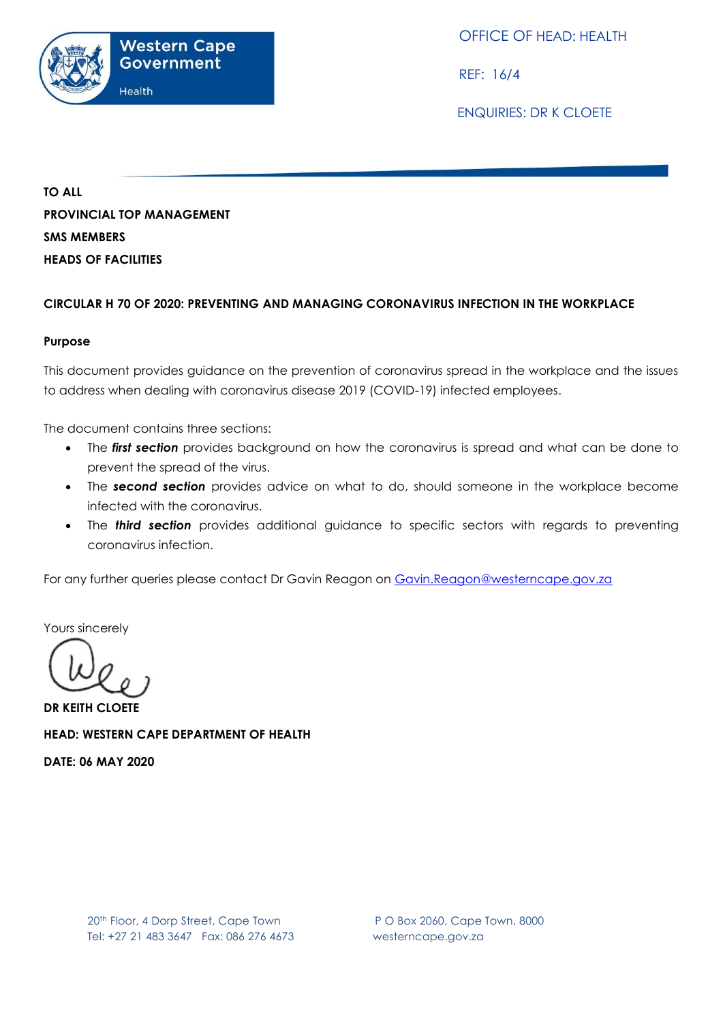

OFFICE OF HEAD: HEALTH

REF: 16/4

ENQUIRIES: DR K CLOETE

**TO ALL PROVINCIAL TOP MANAGEMENT SMS MEMBERS HEADS OF FACILITIES**

## **CIRCULAR H 70 OF 2020: PREVENTING AND MANAGING CORONAVIRUS INFECTION IN THE WORKPLACE**

#### **Purpose**

This document provides guidance on the prevention of coronavirus spread in the workplace and the issues to address when dealing with coronavirus disease 2019 (COVID-19) infected employees.

The document contains three sections:

- The *first section* provides background on how the coronavirus is spread and what can be done to prevent the spread of the virus.
- The *second section* provides advice on what to do, should someone in the workplace become infected with the coronavirus.
- The *third section* provides additional guidance to specific sectors with regards to preventing coronavirus infection.

For any further queries please contact Dr Gavin Reagon on [Gavin.Reagon@westerncape.gov.za](mailto:Gavin.Reagon@westerncape.gov.za)

Yours sincerely

**DR KEITH CLOETE HEAD: WESTERN CAPE DEPARTMENT OF HEALTH DATE: 06 MAY 2020**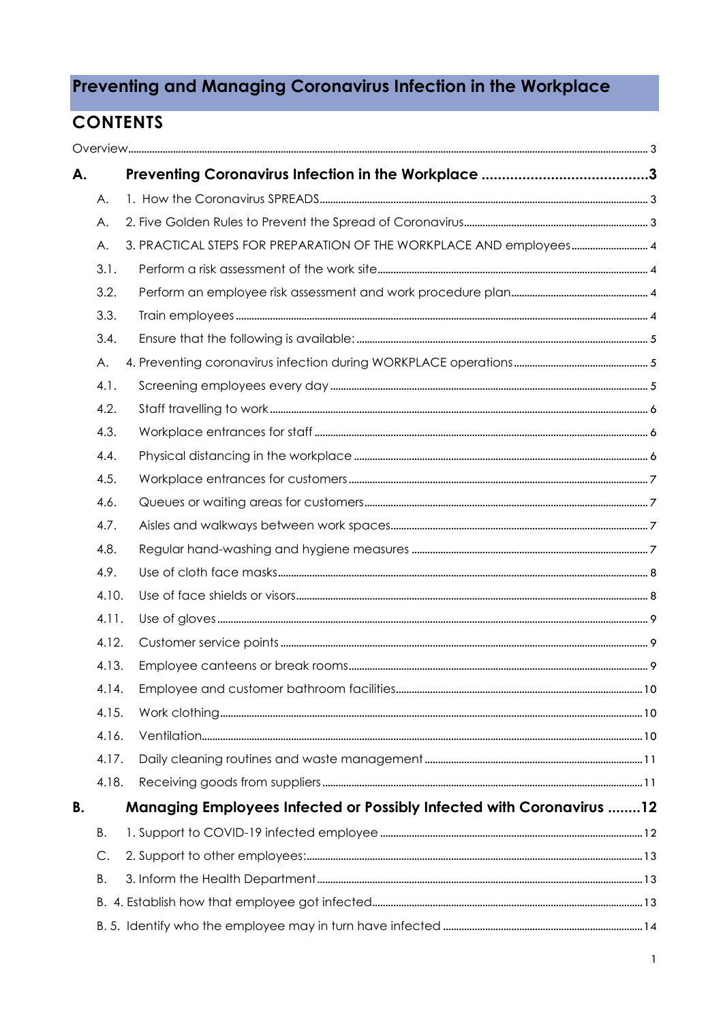# Preventing and Managing Coronavirus Infection in the Workplace

# **CONTENTS**

| А.        |       |  |                                                                             |  |  |
|-----------|-------|--|-----------------------------------------------------------------------------|--|--|
|           | Α.    |  |                                                                             |  |  |
|           | Α.    |  |                                                                             |  |  |
|           | Α.    |  | 3. PRACTICAL STEPS FOR PREPARATION OF THE WORKPLACE AND employees 4         |  |  |
|           | 3.1.  |  |                                                                             |  |  |
|           | 3.2.  |  |                                                                             |  |  |
|           | 3.3.  |  |                                                                             |  |  |
|           | 3.4.  |  |                                                                             |  |  |
|           | A.    |  |                                                                             |  |  |
|           | 4.1.  |  |                                                                             |  |  |
|           | 4.2.  |  |                                                                             |  |  |
|           | 4.3.  |  |                                                                             |  |  |
|           | 4.4.  |  |                                                                             |  |  |
|           | 4.5.  |  |                                                                             |  |  |
|           | 4.6.  |  |                                                                             |  |  |
|           | 4.7.  |  |                                                                             |  |  |
|           | 4.8.  |  |                                                                             |  |  |
|           | 4.9.  |  |                                                                             |  |  |
|           | 4.10. |  |                                                                             |  |  |
|           | 4.11. |  |                                                                             |  |  |
|           | 4.12. |  |                                                                             |  |  |
|           | 4.13. |  |                                                                             |  |  |
|           | 4.14. |  |                                                                             |  |  |
|           | 4.15. |  |                                                                             |  |  |
|           | 4.16. |  |                                                                             |  |  |
|           | 4.17. |  |                                                                             |  |  |
|           | 4.18. |  |                                                                             |  |  |
| <b>B.</b> |       |  | <b>Managing Employees Infected or Possibly Infected with Coronavirus 12</b> |  |  |
|           | В.    |  |                                                                             |  |  |
|           | C.    |  |                                                                             |  |  |
|           | Β.    |  |                                                                             |  |  |
|           |       |  |                                                                             |  |  |
|           |       |  |                                                                             |  |  |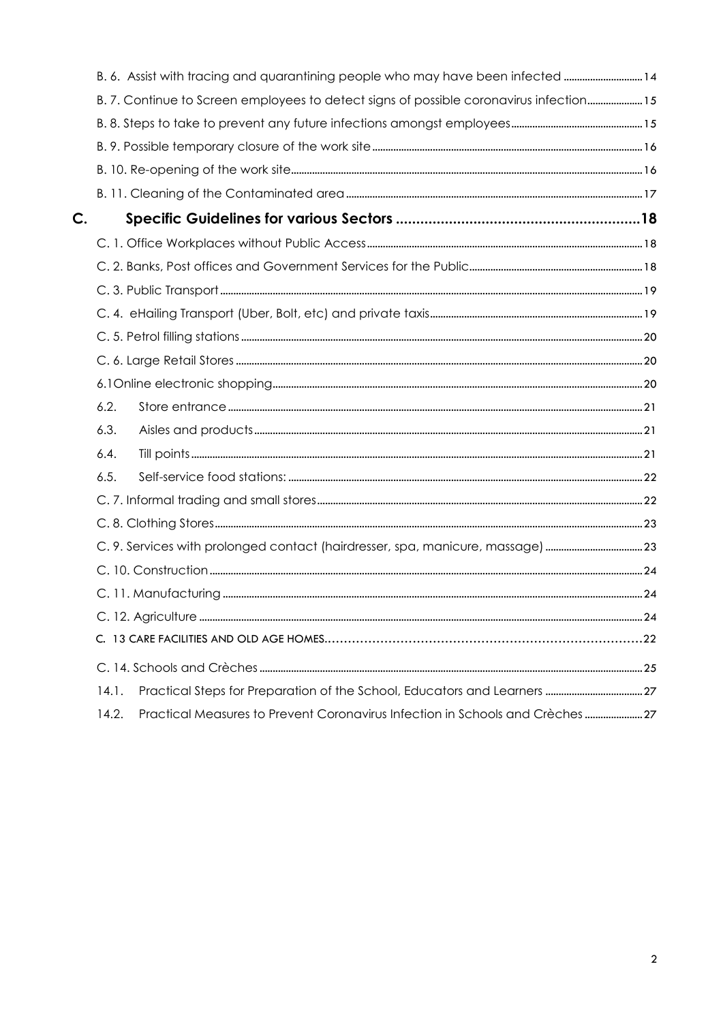|               | B. 6. Assist with tracing and quarantining people who may have been infected  14        |  |  |  |
|---------------|-----------------------------------------------------------------------------------------|--|--|--|
|               | B. 7. Continue to Screen employees to detect signs of possible coronavirus infection 15 |  |  |  |
|               |                                                                                         |  |  |  |
|               |                                                                                         |  |  |  |
|               |                                                                                         |  |  |  |
|               |                                                                                         |  |  |  |
| $\mathsf{C}.$ |                                                                                         |  |  |  |
|               |                                                                                         |  |  |  |
|               |                                                                                         |  |  |  |
|               |                                                                                         |  |  |  |
|               |                                                                                         |  |  |  |
|               |                                                                                         |  |  |  |
|               |                                                                                         |  |  |  |
|               |                                                                                         |  |  |  |
|               | 6.2.                                                                                    |  |  |  |
|               | 6.3.                                                                                    |  |  |  |
|               | 6.4.                                                                                    |  |  |  |
|               | 6.5.                                                                                    |  |  |  |
|               |                                                                                         |  |  |  |
|               |                                                                                         |  |  |  |
|               | C. 9. Services with prolonged contact (hairdresser, spa, manicure, massage) 23          |  |  |  |
|               |                                                                                         |  |  |  |
|               |                                                                                         |  |  |  |
|               |                                                                                         |  |  |  |
|               |                                                                                         |  |  |  |
|               |                                                                                         |  |  |  |
|               | 14.1.                                                                                   |  |  |  |
|               | 14.2.<br>Practical Measures to Prevent Coronavirus Infection in Schools and Crèches  27 |  |  |  |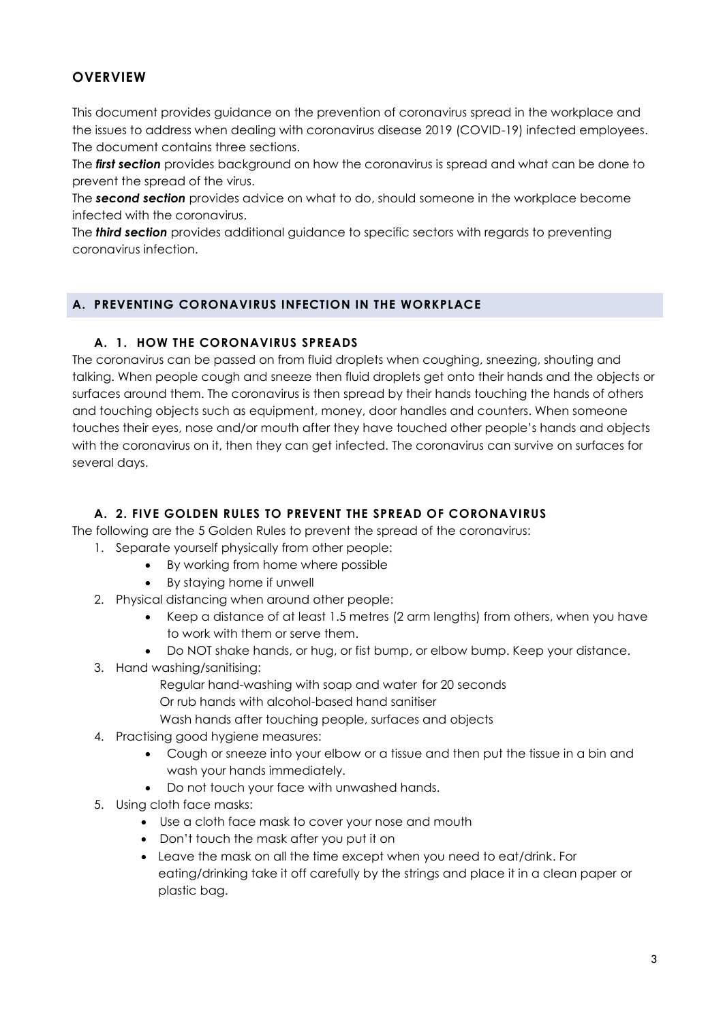# <span id="page-3-0"></span>**OVERVIEW**

This document provides guidance on the prevention of coronavirus spread in the workplace and the issues to address when dealing with coronavirus disease 2019 (COVID-19) infected employees. The document contains three sections.

The *first section* provides background on how the coronavirus is spread and what can be done to prevent the spread of the virus.

The *second section* provides advice on what to do, should someone in the workplace become infected with the coronavirus.

The *third section* provides additional guidance to specific sectors with regards to preventing coronavirus infection.

#### <span id="page-3-1"></span>**A. PREVENTING CORONAVIRUS INFECTION IN THE WORKPLACE**

#### **A. 1. HOW THE CORONAVIRUS SPREADS**

<span id="page-3-2"></span>The coronavirus can be passed on from fluid droplets when coughing, sneezing, shouting and talking. When people cough and sneeze then fluid droplets get onto their hands and the objects or surfaces around them. The coronavirus is then spread by their hands touching the hands of others and touching objects such as equipment, money, door handles and counters. When someone touches their eyes, nose and/or mouth after they have touched other people's hands and objects with the coronavirus on it, then they can get infected. The coronavirus can survive on surfaces for several days.

#### **A. 2. FIVE GOLDEN RULES TO PREVENT THE SPREAD OF CORONAVIRUS**

<span id="page-3-3"></span>The following are the 5 Golden Rules to prevent the spread of the coronavirus:

- 1. Separate yourself physically from other people:
	- By working from home where possible
	- By staying home if unwell
- 2. Physical distancing when around other people:
	- Keep a distance of at least 1.5 metres (2 arm lengths) from others, when you have to work with them or serve them.
	- Do NOT shake hands, or hug, or fist bump, or elbow bump. Keep your distance.
- 3. Hand washing/sanitising:
	- Regular hand-washing with soap and water for 20 seconds Or rub hands with alcohol-based hand sanitiser
	- Wash hands after touching people, surfaces and objects
- 4. Practising good hygiene measures:
	- Cough or sneeze into your elbow or a tissue and then put the tissue in a bin and wash your hands immediately.
	- Do not touch your face with unwashed hands.
- 5. Using cloth face masks:
	- Use a cloth face mask to cover your nose and mouth
	- Don't touch the mask after you put it on
	- Leave the mask on all the time except when you need to eat/drink. For eating/drinking take it off carefully by the strings and place it in a clean paper or plastic bag.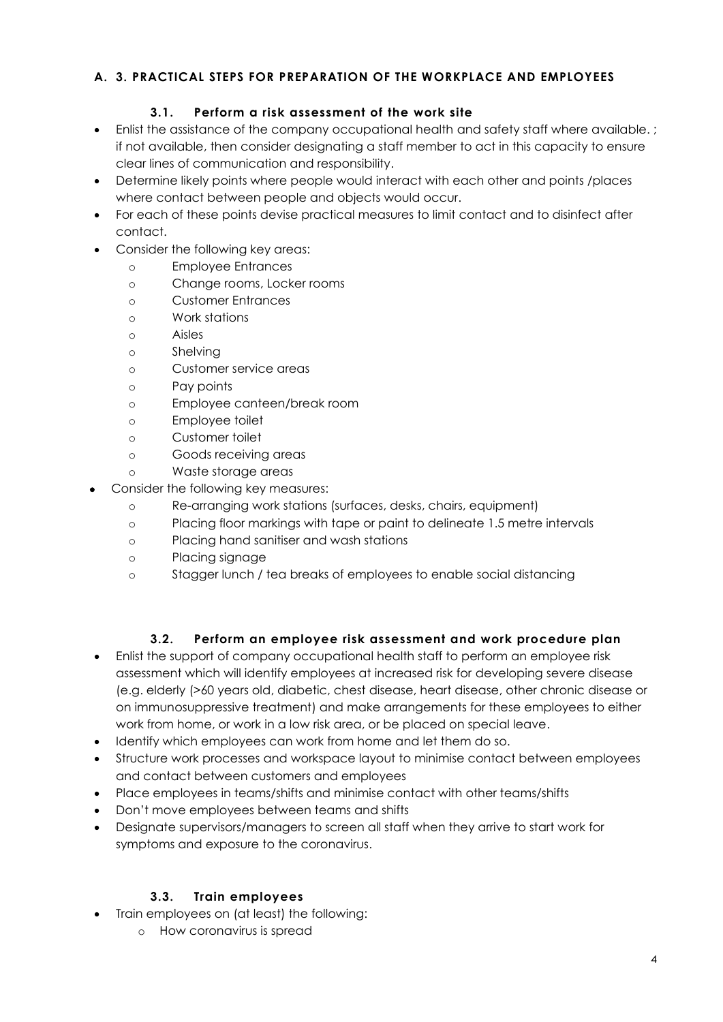## <span id="page-4-1"></span><span id="page-4-0"></span>**A. 3. PRACTICAL STEPS FOR PREPARATION OF THE WORKPLACE AND EMPLOYEES**

## **3.1. Perform a risk assessment of the work site**

- Enlist the assistance of the company occupational health and safety staff where available. ; if not available, then consider designating a staff member to act in this capacity to ensure clear lines of communication and responsibility.
- Determine likely points where people would interact with each other and points /places where contact between people and objects would occur.
- For each of these points devise practical measures to limit contact and to disinfect after contact.
- Consider the following key areas:
	- o Employee Entrances
	- o Change rooms, Locker rooms
	- o Customer Entrances
	- o Work stations
	- o Aisles
	- o Shelving
	- o Customer service areas
	- o Pay points
	- o Employee canteen/break room
	- o Employee toilet
	- o Customer toilet
	- o Goods receiving areas
	- o Waste storage areas
- Consider the following key measures:
	- o Re-arranging work stations (surfaces, desks, chairs, equipment)
	- o Placing floor markings with tape or paint to delineate 1.5 metre intervals
	- o Placing hand sanitiser and wash stations
	- o Placing signage
	- o Stagger lunch / tea breaks of employees to enable social distancing

# **3.2. Perform an employee risk assessment and work procedure plan**

- <span id="page-4-2"></span> Enlist the support of company occupational health staff to perform an employee risk assessment which will identify employees at increased risk for developing severe disease (e.g. elderly (>60 years old, diabetic, chest disease, heart disease, other chronic disease or on immunosuppressive treatment) and make arrangements for these employees to either work from home, or work in a low risk area, or be placed on special leave.
- Identify which employees can work from home and let them do so.
- Structure work processes and workspace layout to minimise contact between employees and contact between customers and employees
- Place employees in teams/shifts and minimise contact with other teams/shifts
- Don't move employees between teams and shifts
- Designate supervisors/managers to screen all staff when they arrive to start work for symptoms and exposure to the coronavirus.

# **3.3. Train employees**

- <span id="page-4-3"></span> Train employees on (at least) the following:
	- o How coronavirus is spread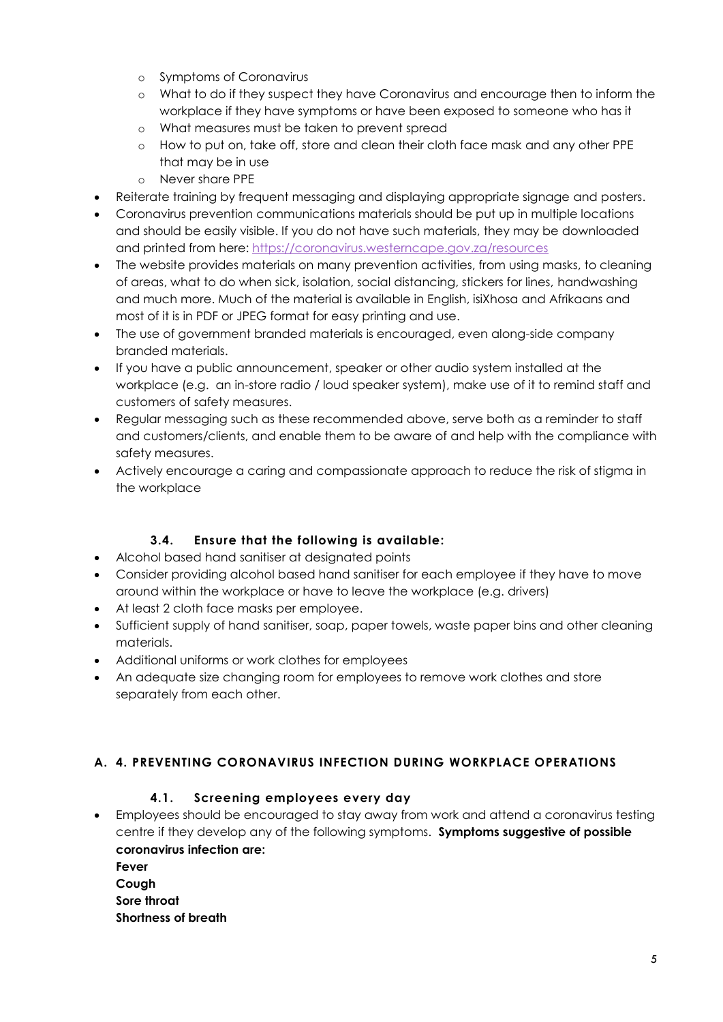- o Symptoms of Coronavirus
- o What to do if they suspect they have Coronavirus and encourage then to inform the workplace if they have symptoms or have been exposed to someone who has it
- o What measures must be taken to prevent spread
- o How to put on, take off, store and clean their cloth face mask and any other PPE that may be in use
- o Never share PPE
- Reiterate training by frequent messaging and displaying appropriate signage and posters.
- Coronavirus prevention communications materials should be put up in multiple locations and should be easily visible. If you do not have such materials, they may be downloaded and printed from here:<https://coronavirus.westerncape.gov.za/resources>
- The website provides materials on many prevention activities, from using masks, to cleaning of areas, what to do when sick, isolation, social distancing, stickers for lines, handwashing and much more. Much of the material is available in English, isiXhosa and Afrikaans and most of it is in PDF or JPEG format for easy printing and use.
- The use of government branded materials is encouraged, even along-side company branded materials.
- If you have a public announcement, speaker or other audio system installed at the workplace (e.g. an in-store radio / loud speaker system), make use of it to remind staff and customers of safety measures.
- Regular messaging such as these recommended above, serve both as a reminder to staff and customers/clients, and enable them to be aware of and help with the compliance with safety measures.
- Actively encourage a caring and compassionate approach to reduce the risk of stigma in the workplace

## **3.4. Ensure that the following is available:**

- <span id="page-5-0"></span>Alcohol based hand sanitiser at designated points
- Consider providing alcohol based hand sanitiser for each employee if they have to move around within the workplace or have to leave the workplace (e.g. drivers)
- At least 2 cloth face masks per employee.
- Sufficient supply of hand sanitiser, soap, paper towels, waste paper bins and other cleaning materials.
- Additional uniforms or work clothes for employees
- An adequate size changing room for employees to remove work clothes and store separately from each other.

## <span id="page-5-2"></span><span id="page-5-1"></span>**A. 4. PREVENTING CORONAVIRUS INFECTION DURING WORKPLACE OPERATIONS**

## **4.1. Screening employees every day**

 Employees should be encouraged to stay away from work and attend a coronavirus testing centre if they develop any of the following symptoms. **Symptoms suggestive of possible coronavirus infection are:** 

| Fever               |
|---------------------|
| Cough               |
| Sore throat         |
| Shortness of breath |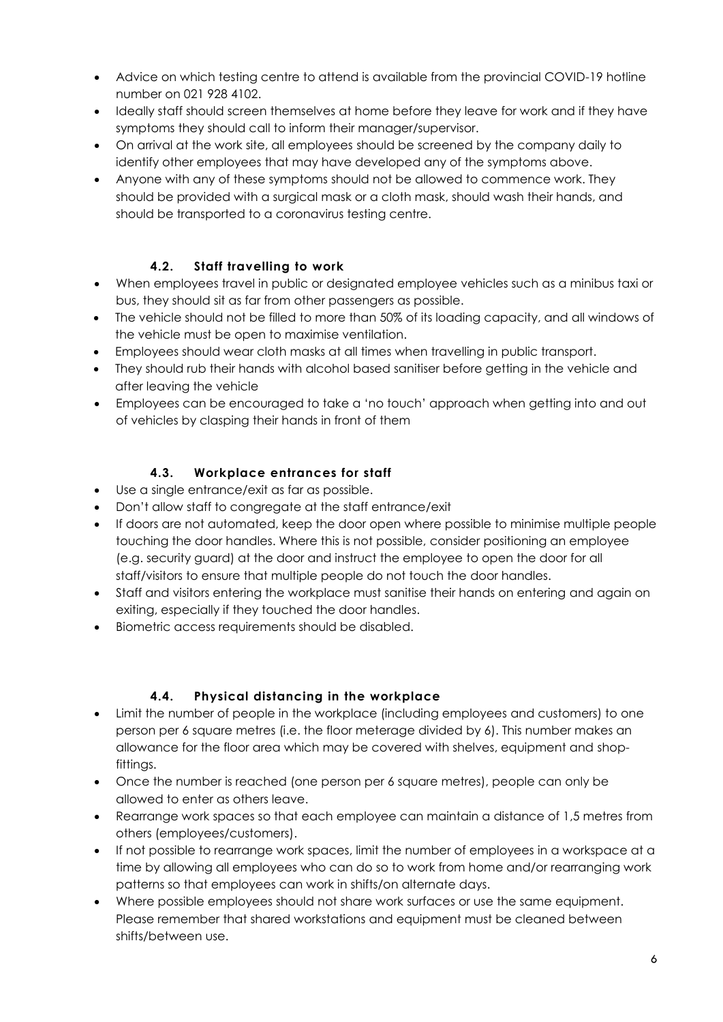- Advice on which testing centre to attend is available from the provincial COVID-19 hotline number on 021 928 4102.
- Ideally staff should screen themselves at home before they leave for work and if they have symptoms they should call to inform their manager/supervisor.
- On arrival at the work site, all employees should be screened by the company daily to identify other employees that may have developed any of the symptoms above.
- Anyone with any of these symptoms should not be allowed to commence work. They should be provided with a surgical mask or a cloth mask, should wash their hands, and should be transported to a coronavirus testing centre.

## **4.2. Staff travelling to work**

- <span id="page-6-0"></span> When employees travel in public or designated employee vehicles such as a minibus taxi or bus, they should sit as far from other passengers as possible.
- The vehicle should not be filled to more than 50% of its loading capacity, and all windows of the vehicle must be open to maximise ventilation.
- Employees should wear cloth masks at all times when travelling in public transport.
- They should rub their hands with alcohol based sanitiser before getting in the vehicle and after leaving the vehicle
- Employees can be encouraged to take a 'no touch' approach when getting into and out of vehicles by clasping their hands in front of them

## **4.3. Workplace entrances for staff**

- <span id="page-6-1"></span>Use a single entrance/exit as far as possible.
- Don't allow staff to congregate at the staff entrance/exit
- If doors are not automated, keep the door open where possible to minimise multiple people touching the door handles. Where this is not possible, consider positioning an employee (e.g. security guard) at the door and instruct the employee to open the door for all staff/visitors to ensure that multiple people do not touch the door handles.
- Staff and visitors entering the workplace must sanitise their hands on entering and again on exiting, especially if they touched the door handles.
- Biometric access requirements should be disabled.

## **4.4. Physical distancing in the workplace**

- <span id="page-6-2"></span> Limit the number of people in the workplace (including employees and customers) to one person per 6 square metres (i.e. the floor meterage divided by 6). This number makes an allowance for the floor area which may be covered with shelves, equipment and shopfittings.
- Once the number is reached (one person per 6 square metres), people can only be allowed to enter as others leave.
- Rearrange work spaces so that each employee can maintain a distance of 1,5 metres from others (employees/customers).
- If not possible to rearrange work spaces, limit the number of employees in a workspace at a time by allowing all employees who can do so to work from home and/or rearranging work patterns so that employees can work in shifts/on alternate days.
- Where possible employees should not share work surfaces or use the same equipment. Please remember that shared workstations and equipment must be cleaned between shifts/between use.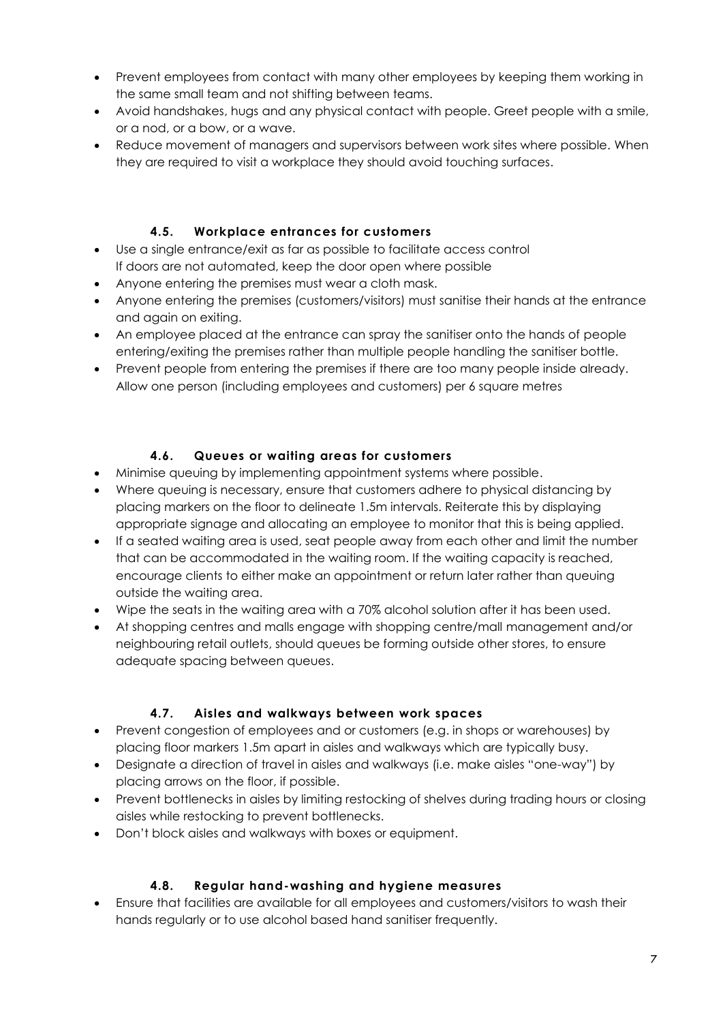- Prevent employees from contact with many other employees by keeping them working in the same small team and not shifting between teams.
- Avoid handshakes, hugs and any physical contact with people. Greet people with a smile, or a nod, or a bow, or a wave.
- Reduce movement of managers and supervisors between work sites where possible. When they are required to visit a workplace they should avoid touching surfaces.

# **4.5. Workplace entrances for customers**

- <span id="page-7-0"></span> Use a single entrance/exit as far as possible to facilitate access control If doors are not automated, keep the door open where possible
- Anyone entering the premises must wear a cloth mask.
- Anyone entering the premises (customers/visitors) must sanitise their hands at the entrance and again on exiting.
- An employee placed at the entrance can spray the sanitiser onto the hands of people entering/exiting the premises rather than multiple people handling the sanitiser bottle.
- Prevent people from entering the premises if there are too many people inside already. Allow one person (including employees and customers) per 6 square metres

# **4.6. Queues or waiting areas for customers**

- <span id="page-7-1"></span>Minimise queuing by implementing appointment systems where possible.
- Where queuing is necessary, ensure that customers adhere to physical distancing by placing markers on the floor to delineate 1.5m intervals. Reiterate this by displaying appropriate signage and allocating an employee to monitor that this is being applied.
- If a seated waiting area is used, seat people away from each other and limit the number that can be accommodated in the waiting room. If the waiting capacity is reached, encourage clients to either make an appointment or return later rather than queuing outside the waiting area.
- Wipe the seats in the waiting area with a 70% alcohol solution after it has been used.
- At shopping centres and malls engage with shopping centre/mall management and/or neighbouring retail outlets, should queues be forming outside other stores, to ensure adequate spacing between queues.

## **4.7. Aisles and walkways between work spaces**

- <span id="page-7-2"></span> Prevent congestion of employees and or customers (e.g. in shops or warehouses) by placing floor markers 1.5m apart in aisles and walkways which are typically busy.
- Designate a direction of travel in aisles and walkways (i.e. make aisles "one-way") by placing arrows on the floor, if possible.
- Prevent bottlenecks in aisles by limiting restocking of shelves during trading hours or closing aisles while restocking to prevent bottlenecks.
- <span id="page-7-3"></span>Don't block aisles and walkways with boxes or equipment.

## **4.8. Regular hand-washing and hygiene measures**

 Ensure that facilities are available for all employees and customers/visitors to wash their hands regularly or to use alcohol based hand sanitiser frequently.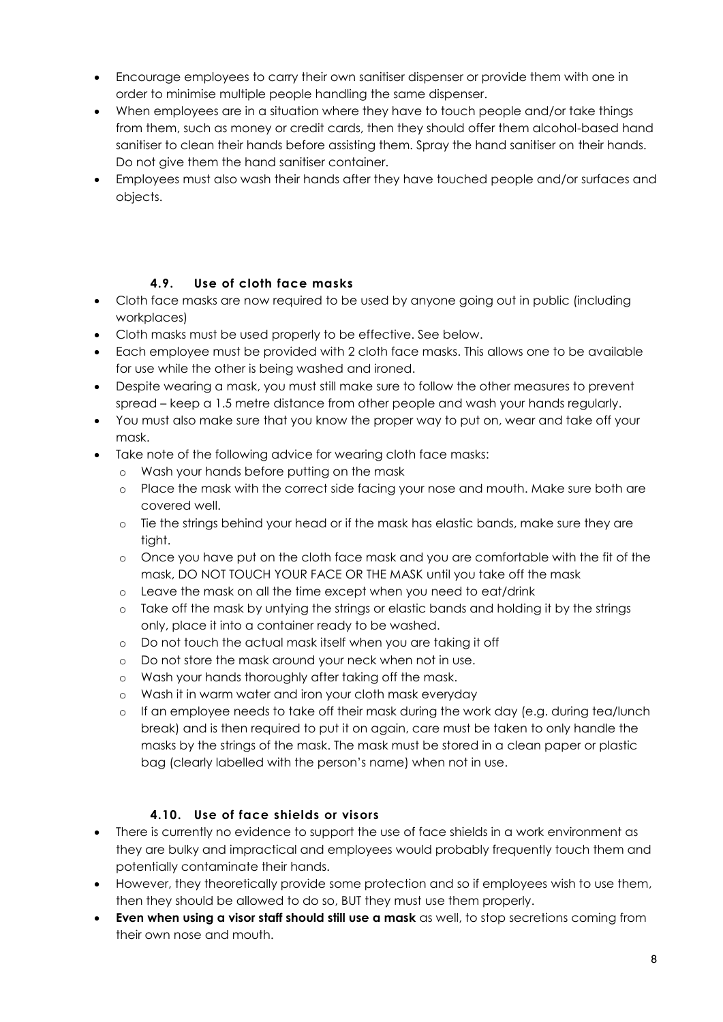- Encourage employees to carry their own sanitiser dispenser or provide them with one in order to minimise multiple people handling the same dispenser.
- When employees are in a situation where they have to touch people and/or take things from them, such as money or credit cards, then they should offer them alcohol-based hand sanitiser to clean their hands before assisting them. Spray the hand sanitiser on their hands. Do not give them the hand sanitiser container.
- Employees must also wash their hands after they have touched people and/or surfaces and objects.

## **4.9. Use of cloth face masks**

- <span id="page-8-0"></span> Cloth face masks are now required to be used by anyone going out in public (including workplaces)
- Cloth masks must be used properly to be effective. See below.
- Each employee must be provided with 2 cloth face masks. This allows one to be available for use while the other is being washed and ironed.
- Despite wearing a mask, you must still make sure to follow the other measures to prevent spread – keep a 1.5 metre distance from other people and wash your hands regularly.
- You must also make sure that you know the proper way to put on, wear and take off your mask.
- Take note of the following advice for wearing cloth face masks:
	- o Wash your hands before putting on the mask
	- o Place the mask with the correct side facing your nose and mouth. Make sure both are covered well.
	- o Tie the strings behind your head or if the mask has elastic bands, make sure they are tight.
	- o Once you have put on the cloth face mask and you are comfortable with the fit of the mask, DO NOT TOUCH YOUR FACE OR THE MASK until you take off the mask
	- o Leave the mask on all the time except when you need to eat/drink
	- o Take off the mask by untying the strings or elastic bands and holding it by the strings only, place it into a container ready to be washed.
	- o Do not touch the actual mask itself when you are taking it off
	- o Do not store the mask around your neck when not in use.
	- o Wash your hands thoroughly after taking off the mask.
	- o Wash it in warm water and iron your cloth mask everyday
	- o If an employee needs to take off their mask during the work day (e.g. during tea/lunch break) and is then required to put it on again, care must be taken to only handle the masks by the strings of the mask. The mask must be stored in a clean paper or plastic bag (clearly labelled with the person's name) when not in use.

# **4.10. Use of face shields or visors**

- <span id="page-8-1"></span> There is currently no evidence to support the use of face shields in a work environment as they are bulky and impractical and employees would probably frequently touch them and potentially contaminate their hands.
- However, they theoretically provide some protection and so if employees wish to use them, then they should be allowed to do so, BUT they must use them properly.
- **Even when using a visor staff should still use a mask** as well, to stop secretions coming from their own nose and mouth.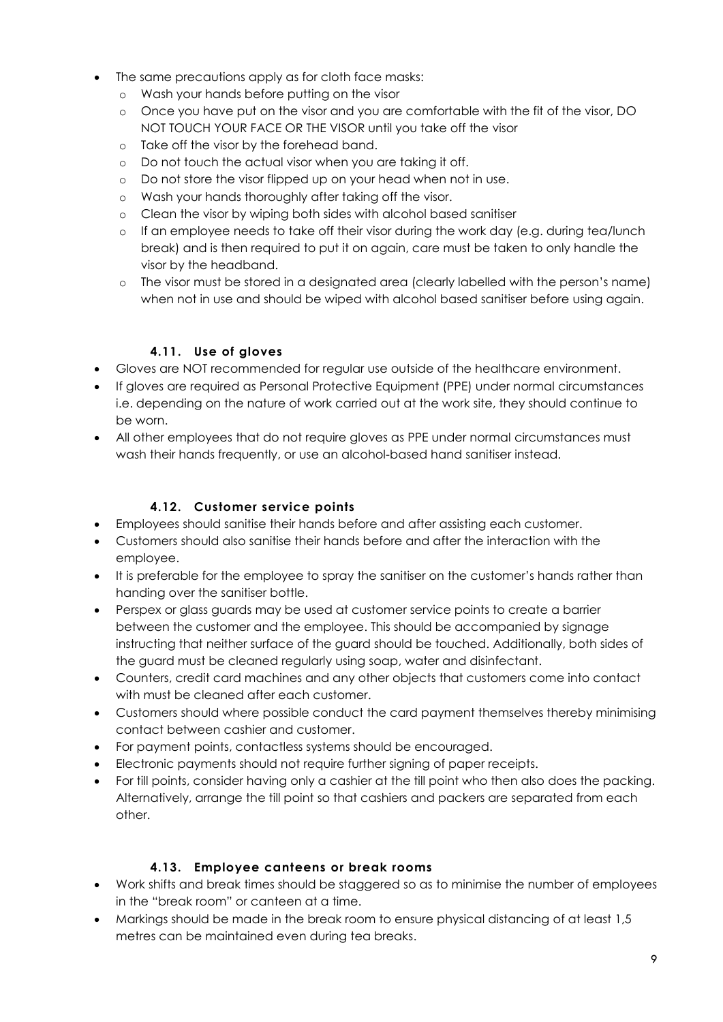- The same precautions apply as for cloth face masks:
	- o Wash your hands before putting on the visor
	- o Once you have put on the visor and you are comfortable with the fit of the visor, DO NOT TOUCH YOUR FACE OR THE VISOR until you take off the visor
	- o Take off the visor by the forehead band.
	- o Do not touch the actual visor when you are taking it off.
	- o Do not store the visor flipped up on your head when not in use.
	- o Wash your hands thoroughly after taking off the visor.
	- o Clean the visor by wiping both sides with alcohol based sanitiser
	- o If an employee needs to take off their visor during the work day (e.g. during tea/lunch break) and is then required to put it on again, care must be taken to only handle the visor by the headband.
	- o The visor must be stored in a designated area (clearly labelled with the person's name) when not in use and should be wiped with alcohol based sanitiser before using again.

## **4.11. Use of gloves**

- <span id="page-9-0"></span>Gloves are NOT recommended for regular use outside of the healthcare environment.
- If gloves are required as Personal Protective Equipment (PPE) under normal circumstances i.e. depending on the nature of work carried out at the work site, they should continue to be worn.
- All other employees that do not require gloves as PPE under normal circumstances must wash their hands frequently, or use an alcohol-based hand sanitiser instead.

## **4.12. Customer service points**

- <span id="page-9-1"></span>Employees should sanitise their hands before and after assisting each customer.
- Customers should also sanitise their hands before and after the interaction with the employee.
- It is preferable for the employee to spray the sanitiser on the customer's hands rather than handing over the sanitiser bottle.
- Perspex or glass guards may be used at customer service points to create a barrier between the customer and the employee. This should be accompanied by signage instructing that neither surface of the guard should be touched. Additionally, both sides of the guard must be cleaned regularly using soap, water and disinfectant.
- Counters, credit card machines and any other objects that customers come into contact with must be cleaned after each customer.
- Customers should where possible conduct the card payment themselves thereby minimising contact between cashier and customer.
- For payment points, contactless systems should be encouraged.
- Electronic payments should not require further signing of paper receipts.
- For till points, consider having only a cashier at the till point who then also does the packing. Alternatively, arrange the till point so that cashiers and packers are separated from each other.

#### **4.13. Employee canteens or break rooms**

- <span id="page-9-2"></span> Work shifts and break times should be staggered so as to minimise the number of employees in the "break room" or canteen at a time.
- Markings should be made in the break room to ensure physical distancing of at least 1,5 metres can be maintained even during tea breaks.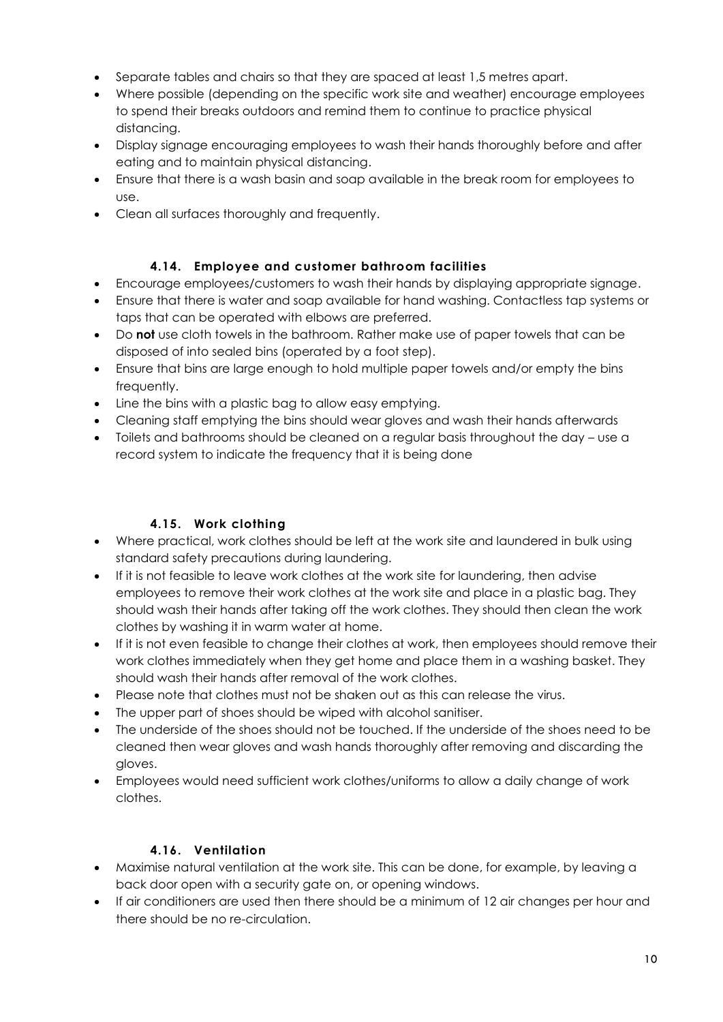- Separate tables and chairs so that they are spaced at least 1,5 metres apart.
- Where possible (depending on the specific work site and weather) encourage employees to spend their breaks outdoors and remind them to continue to practice physical distancing.
- Display signage encouraging employees to wash their hands thoroughly before and after eating and to maintain physical distancing.
- Ensure that there is a wash basin and soap available in the break room for employees to use.
- <span id="page-10-0"></span>Clean all surfaces thoroughly and frequently.

## **4.14. Employee and customer bathroom facilities**

- Encourage employees/customers to wash their hands by displaying appropriate signage.
- Ensure that there is water and soap available for hand washing. Contactless tap systems or taps that can be operated with elbows are preferred.
- Do **not** use cloth towels in the bathroom. Rather make use of paper towels that can be disposed of into sealed bins (operated by a foot step).
- Ensure that bins are large enough to hold multiple paper towels and/or empty the bins frequently.
- Line the bins with a plastic bag to allow easy emptying.
- Cleaning staff emptying the bins should wear gloves and wash their hands afterwards
- Toilets and bathrooms should be cleaned on a regular basis throughout the day use a record system to indicate the frequency that it is being done

# **4.15. Work clothing**

- <span id="page-10-1"></span> Where practical, work clothes should be left at the work site and laundered in bulk using standard safety precautions during laundering.
- If it is not feasible to leave work clothes at the work site for laundering, then advise employees to remove their work clothes at the work site and place in a plastic bag. They should wash their hands after taking off the work clothes. They should then clean the work clothes by washing it in warm water at home.
- If it is not even feasible to change their clothes at work, then employees should remove their work clothes immediately when they get home and place them in a washing basket. They should wash their hands after removal of the work clothes.
- Please note that clothes must not be shaken out as this can release the virus.
- The upper part of shoes should be wiped with alcohol sanitiser.
- The underside of the shoes should not be touched. If the underside of the shoes need to be cleaned then wear gloves and wash hands thoroughly after removing and discarding the gloves.
- Employees would need sufficient work clothes/uniforms to allow a daily change of work clothes.

# **4.16. Ventilation**

- <span id="page-10-2"></span> Maximise natural ventilation at the work site. This can be done, for example, by leaving a back door open with a security gate on, or opening windows.
- If air conditioners are used then there should be a minimum of 12 air changes per hour and there should be no re-circulation.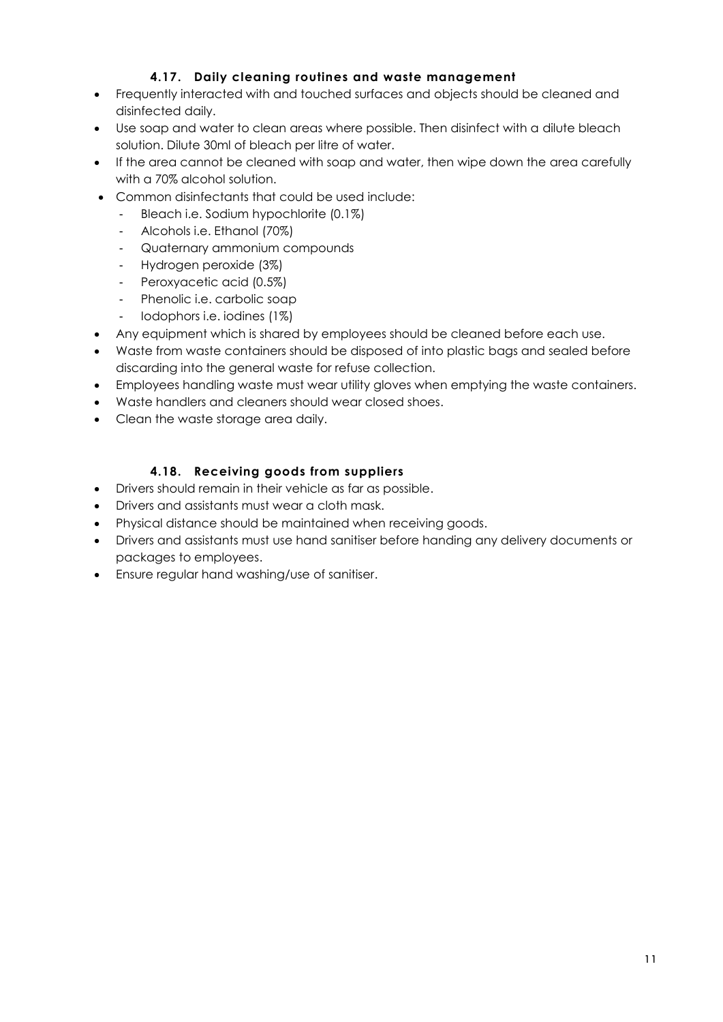## **4.17. Daily cleaning routines and waste management**

- <span id="page-11-0"></span> Frequently interacted with and touched surfaces and objects should be cleaned and disinfected daily.
- Use soap and water to clean areas where possible. Then disinfect with a dilute bleach solution. Dilute 30ml of bleach per litre of water.
- If the area cannot be cleaned with soap and water, then wipe down the area carefully with a 70% alcohol solution.
- Common disinfectants that could be used include:
	- Bleach i.e. Sodium hypochlorite (0.1%)
	- Alcohols i.e. Ethanol (70%)
	- Quaternary ammonium compounds
	- Hydrogen peroxide (3%)
	- Peroxyacetic acid (0.5%)
	- Phenolic i.e. carbolic soap
	- Iodophors i.e. iodines (1%)
- Any equipment which is shared by employees should be cleaned before each use.
- Waste from waste containers should be disposed of into plastic bags and sealed before discarding into the general waste for refuse collection.
- Employees handling waste must wear utility gloves when emptying the waste containers.
- Waste handlers and cleaners should wear closed shoes.
- <span id="page-11-1"></span>Clean the waste storage area daily.

## **4.18. Receiving goods from suppliers**

- Drivers should remain in their vehicle as far as possible.
- Drivers and assistants must wear a cloth mask.
- Physical distance should be maintained when receiving goods.
- Drivers and assistants must use hand sanitiser before handing any delivery documents or packages to employees.
- Ensure regular hand washing/use of sanitiser.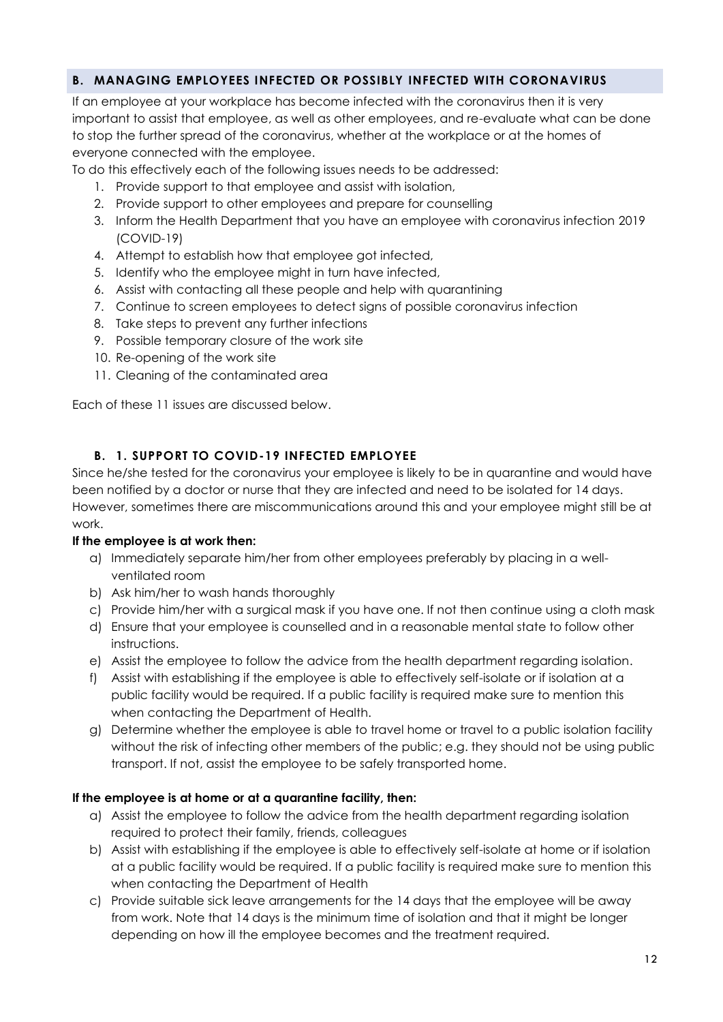## <span id="page-12-0"></span>**B. MANAGING EMPLOYEES INFECTED OR POSSIBLY INFECTED WITH CORONAVIRUS**

If an employee at your workplace has become infected with the coronavirus then it is very important to assist that employee, as well as other employees, and re-evaluate what can be done to stop the further spread of the coronavirus, whether at the workplace or at the homes of everyone connected with the employee.

To do this effectively each of the following issues needs to be addressed:

- 1. Provide support to that employee and assist with isolation,
- 2. Provide support to other employees and prepare for counselling
- 3. Inform the Health Department that you have an employee with coronavirus infection 2019 (COVID-19)
- 4. Attempt to establish how that employee got infected,
- 5. Identify who the employee might in turn have infected,
- 6. Assist with contacting all these people and help with quarantining
- 7. Continue to screen employees to detect signs of possible coronavirus infection
- 8. Take steps to prevent any further infections
- 9. Possible temporary closure of the work site
- 10. Re-opening of the work site
- 11. Cleaning of the contaminated area

Each of these 11 issues are discussed below.

#### **B. 1. SUPPORT TO COVID-19 INFECTED EMPLOYEE**

<span id="page-12-1"></span>Since he/she tested for the coronavirus your employee is likely to be in quarantine and would have been notified by a doctor or nurse that they are infected and need to be isolated for 14 days. However, sometimes there are miscommunications around this and your employee might still be at work.

#### **If the employee is at work then:**

- a) Immediately separate him/her from other employees preferably by placing in a wellventilated room
- b) Ask him/her to wash hands thoroughly
- c) Provide him/her with a surgical mask if you have one. If not then continue using a cloth mask
- d) Ensure that your employee is counselled and in a reasonable mental state to follow other instructions.
- e) Assist the employee to follow the advice from the health department regarding isolation.
- f) Assist with establishing if the employee is able to effectively self-isolate or if isolation at a public facility would be required. If a public facility is required make sure to mention this when contacting the Department of Health.
- g) Determine whether the employee is able to travel home or travel to a public isolation facility without the risk of infecting other members of the public; e.g. they should not be using public transport. If not, assist the employee to be safely transported home.

#### **If the employee is at home or at a quarantine facility, then:**

- a) Assist the employee to follow the advice from the health department regarding isolation required to protect their family, friends, colleagues
- b) Assist with establishing if the employee is able to effectively self-isolate at home or if isolation at a public facility would be required. If a public facility is required make sure to mention this when contacting the Department of Health
- c) Provide suitable sick leave arrangements for the 14 days that the employee will be away from work. Note that 14 days is the minimum time of isolation and that it might be longer depending on how ill the employee becomes and the treatment required.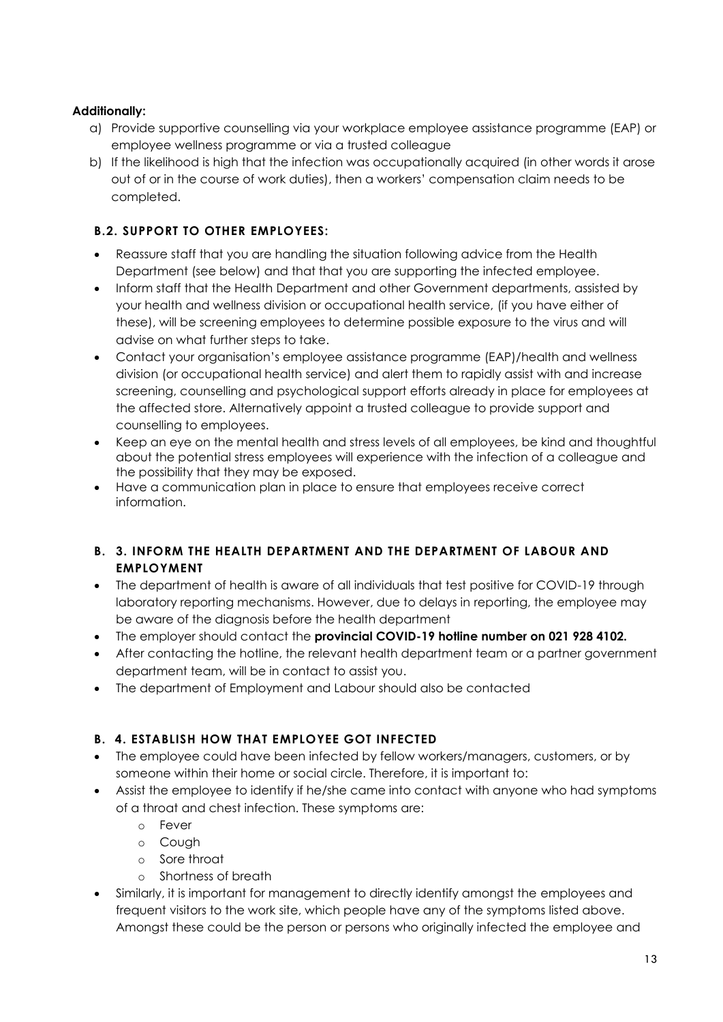## **Additionally:**

- a) Provide supportive counselling via your workplace employee assistance programme (EAP) or employee wellness programme or via a trusted colleague
- b) If the likelihood is high that the infection was occupationally acquired (in other words it arose out of or in the course of work duties), then a workers' compensation claim needs to be completed.

# <span id="page-13-0"></span>**B.2. SUPPORT TO OTHER EMPLOYEES:**

- Reassure staff that you are handling the situation following advice from the Health Department (see below) and that that you are supporting the infected employee.
- Inform staff that the Health Department and other Government departments, assisted by your health and wellness division or occupational health service, (if you have either of these), will be screening employees to determine possible exposure to the virus and will advise on what further steps to take.
- Contact your organisation's employee assistance programme (EAP)/health and wellness division (or occupational health service) and alert them to rapidly assist with and increase screening, counselling and psychological support efforts already in place for employees at the affected store. Alternatively appoint a trusted colleague to provide support and counselling to employees.
- Keep an eye on the mental health and stress levels of all employees, be kind and thoughtful about the potential stress employees will experience with the infection of a colleague and the possibility that they may be exposed.
- Have a communication plan in place to ensure that employees receive correct information.

## <span id="page-13-1"></span>**B. 3. INFORM THE HEALTH DEPARTMENT AND THE DEPARTMENT OF LABOUR AND EMPLOYMENT**

- The department of health is aware of all individuals that test positive for COVID-19 through laboratory reporting mechanisms. However, due to delays in reporting, the employee may be aware of the diagnosis before the health department
- The employer should contact the **provincial COVID-19 hotline number on 021 928 4102.**
- After contacting the hotline, the relevant health department team or a partner government department team, will be in contact to assist you.
- The department of Employment and Labour should also be contacted

# <span id="page-13-2"></span>**B. 4. ESTABLISH HOW THAT EMPLOYEE GOT INFECTED**

- The employee could have been infected by fellow workers/managers, customers, or by someone within their home or social circle. Therefore, it is important to:
- Assist the employee to identify if he/she came into contact with anyone who had symptoms of a throat and chest infection. These symptoms are:
	- o Fever
	- o Cough
	- o Sore throat
	- o Shortness of breath
- Similarly, it is important for management to directly identify amongst the employees and frequent visitors to the work site, which people have any of the symptoms listed above. Amongst these could be the person or persons who originally infected the employee and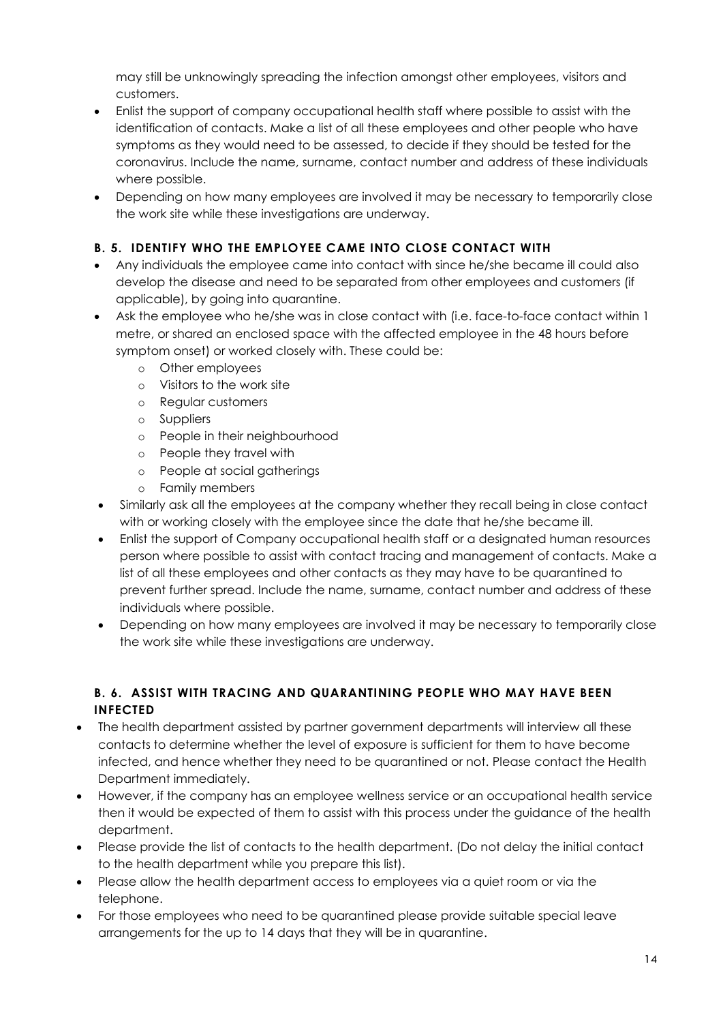may still be unknowingly spreading the infection amongst other employees, visitors and customers.

- Enlist the support of company occupational health staff where possible to assist with the identification of contacts. Make a list of all these employees and other people who have symptoms as they would need to be assessed, to decide if they should be tested for the coronavirus. Include the name, surname, contact number and address of these individuals where possible.
- Depending on how many employees are involved it may be necessary to temporarily close the work site while these investigations are underway.

## <span id="page-14-0"></span>**B. 5. IDENTIFY WHO THE EMPLOYEE CAME INTO CLOSE CONTACT WITH**

- Any individuals the employee came into contact with since he/she became ill could also develop the disease and need to be separated from other employees and customers (if applicable), by going into quarantine.
- Ask the employee who he/she was in close contact with (i.e. face-to-face contact within 1 metre, or shared an enclosed space with the affected employee in the 48 hours before symptom onset) or worked closely with. These could be:
	- o Other employees
	- o Visitors to the work site
	- o Regular customers
	- o Suppliers
	- o People in their neighbourhood
	- o People they travel with
	- o People at social gatherings
	- o Family members
- Similarly ask all the employees at the company whether they recall being in close contact with or working closely with the employee since the date that he/she became ill.
- Enlist the support of Company occupational health staff or a designated human resources person where possible to assist with contact tracing and management of contacts. Make a list of all these employees and other contacts as they may have to be quarantined to prevent further spread. Include the name, surname, contact number and address of these individuals where possible.
- Depending on how many employees are involved it may be necessary to temporarily close the work site while these investigations are underway.

## <span id="page-14-1"></span>**B. 6. ASSIST WITH TRACING AND QUARANTINING PEOPLE WHO MAY HAVE BEEN INFECTED**

- The health department assisted by partner government departments will interview all these contacts to determine whether the level of exposure is sufficient for them to have become infected, and hence whether they need to be quarantined or not. Please contact the Health Department immediately.
- However, if the company has an employee wellness service or an occupational health service then it would be expected of them to assist with this process under the guidance of the health department.
- Please provide the list of contacts to the health department. (Do not delay the initial contact to the health department while you prepare this list).
- Please allow the health department access to employees via a quiet room or via the telephone.
- For those employees who need to be quarantined please provide suitable special leave arrangements for the up to 14 days that they will be in quarantine.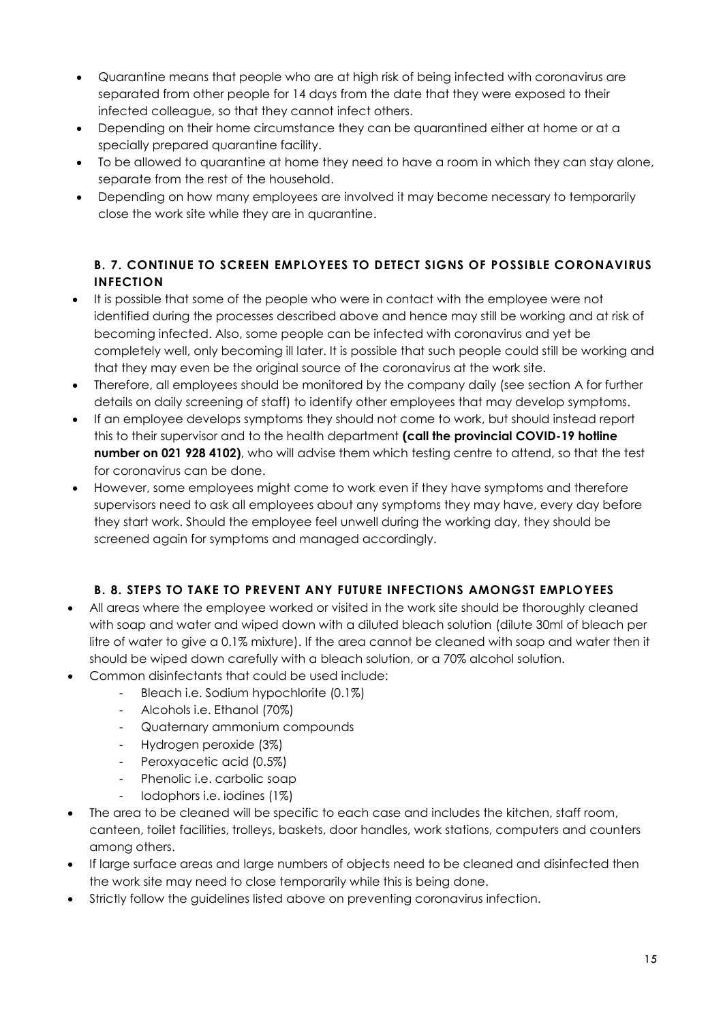- Quarantine means that people who are at high risk of being infected with coronavirus are separated from other people for 14 days from the date that they were exposed to their infected colleague, so that they cannot infect others.
- Depending on their home circumstance they can be quarantined either at home or at a specially prepared quarantine facility.
- To be allowed to quarantine at home they need to have a room in which they can stay alone, separate from the rest of the household.
- Depending on how many employees are involved it may become necessary to temporarily close the work site while they are in quarantine.

## <span id="page-15-0"></span>**B. 7. CONTINUE TO SCREEN EMPLOYEES TO DETECT SIGNS OF POSSIBLE CORONAVIRUS INFECTION**

- It is possible that some of the people who were in contact with the employee were not identified during the processes described above and hence may still be working and at risk of becoming infected. Also, some people can be infected with coronavirus and yet be completely well, only becoming ill later. It is possible that such people could still be working and that they may even be the original source of the coronavirus at the work site.
- Therefore, all employees should be monitored by the company daily (see section A for further details on daily screening of staff) to identify other employees that may develop symptoms.
- If an employee develops symptoms they should not come to work, but should instead report this to their supervisor and to the health department **(call the provincial COVID-19 hotline number on 021 928 4102)**, who will advise them which testing centre to attend, so that the test for coronavirus can be done.
- However, some employees might come to work even if they have symptoms and therefore supervisors need to ask all employees about any symptoms they may have, every day before they start work. Should the employee feel unwell during the working day, they should be screened again for symptoms and managed accordingly.

# **B. 8. STEPS TO TAKE TO PREVENT ANY FUTURE INFECTIONS AMONGST EMPLOYEES**

- <span id="page-15-1"></span> All areas where the employee worked or visited in the work site should be thoroughly cleaned with soap and water and wiped down with a diluted bleach solution (dilute 30ml of bleach per litre of water to give a 0.1% mixture). If the area cannot be cleaned with soap and water then it should be wiped down carefully with a bleach solution, or a 70% alcohol solution.
- Common disinfectants that could be used include:
	- Bleach i.e. Sodium hypochlorite (0.1%)
	- Alcohols i.e. Ethanol (70%)
	- Quaternary ammonium compounds
	- Hydrogen peroxide (3%)
	- Peroxyacetic acid (0.5%)
	- Phenolic i.e. carbolic soap
	- Iodophors i.e. iodines (1%)
- The area to be cleaned will be specific to each case and includes the kitchen, staff room, canteen, toilet facilities, trolleys, baskets, door handles, work stations, computers and counters among others.
- If large surface areas and large numbers of objects need to be cleaned and disinfected then the work site may need to close temporarily while this is being done.
- Strictly follow the guidelines listed above on preventing coronavirus infection.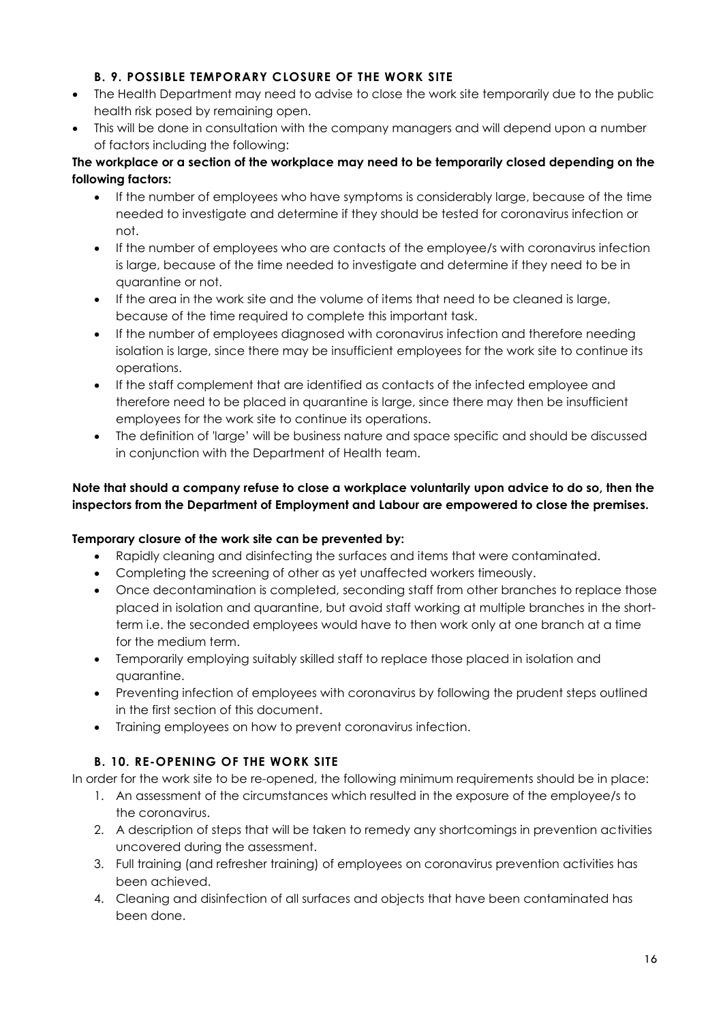## **B. 9. POSSIBLE TEMPORARY CLOSURE OF THE WORK SITE**

- <span id="page-16-0"></span>• The Health Department may need to advise to close the work site temporarily due to the public health risk posed by remaining open.
- This will be done in consultation with the company managers and will depend upon a number of factors including the following:

#### **The workplace or a section of the workplace may need to be temporarily closed depending on the following factors:**

- If the number of employees who have symptoms is considerably large, because of the time needed to investigate and determine if they should be tested for coronavirus infection or not.
- If the number of employees who are contacts of the employee/s with coronavirus infection is large, because of the time needed to investigate and determine if they need to be in quarantine or not.
- If the area in the work site and the volume of items that need to be cleaned is large, because of the time required to complete this important task.
- If the number of employees diagnosed with coronavirus infection and therefore needing isolation is large, since there may be insufficient employees for the work site to continue its operations.
- If the staff complement that are identified as contacts of the infected employee and therefore need to be placed in quarantine is large, since there may then be insufficient employees for the work site to continue its operations.
- The definition of 'large' will be business nature and space specific and should be discussed in conjunction with the Department of Health team.

## **Note that should a company refuse to close a workplace voluntarily upon advice to do so, then the inspectors from the Department of Employment and Labour are empowered to close the premises.**

## **Temporary closure of the work site can be prevented by:**

- Rapidly cleaning and disinfecting the surfaces and items that were contaminated.
- Completing the screening of other as yet unaffected workers timeously.
- Once decontamination is completed, seconding staff from other branches to replace those placed in isolation and quarantine, but avoid staff working at multiple branches in the shortterm i.e. the seconded employees would have to then work only at one branch at a time for the medium term.
- Temporarily employing suitably skilled staff to replace those placed in isolation and quarantine.
- Preventing infection of employees with coronavirus by following the prudent steps outlined in the first section of this document.
- Training employees on how to prevent coronavirus infection.

# **B. 10. RE-OPENING OF THE WORK SITE**

<span id="page-16-1"></span>In order for the work site to be re-opened, the following minimum requirements should be in place:

- 1. An assessment of the circumstances which resulted in the exposure of the employee/s to the coronavirus.
- 2. A description of steps that will be taken to remedy any shortcomings in prevention activities uncovered during the assessment.
- 3. Full training (and refresher training) of employees on coronavirus prevention activities has been achieved.
- 4. Cleaning and disinfection of all surfaces and objects that have been contaminated has been done.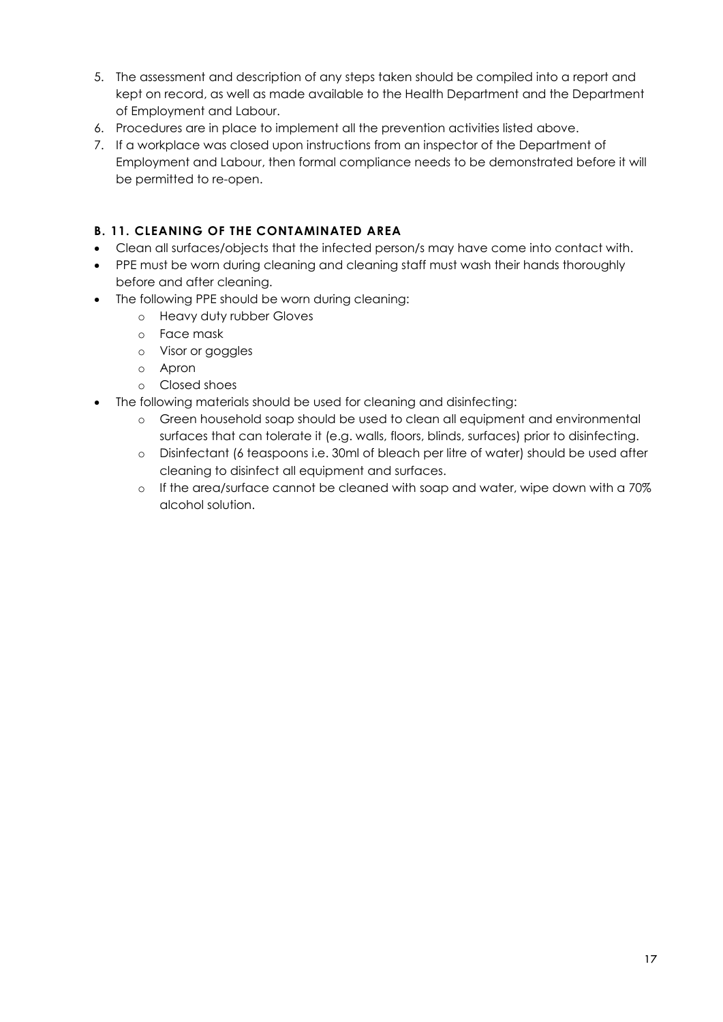- 5. The assessment and description of any steps taken should be compiled into a report and kept on record, as well as made available to the Health Department and the Department of Employment and Labour.
- 6. Procedures are in place to implement all the prevention activities listed above.
- 7. If a workplace was closed upon instructions from an inspector of the Department of Employment and Labour, then formal compliance needs to be demonstrated before it will be permitted to re-open.

#### <span id="page-17-0"></span>**B. 11. CLEANING OF THE CONTAMINATED AREA**

- Clean all surfaces/objects that the infected person/s may have come into contact with.
- PPE must be worn during cleaning and cleaning staff must wash their hands thoroughly before and after cleaning.
- The following PPE should be worn during cleaning:
	- o Heavy duty rubber Gloves
	- o Face mask
	- o Visor or goggles
	- o Apron
	- o Closed shoes
- The following materials should be used for cleaning and disinfecting:
	- o Green household soap should be used to clean all equipment and environmental surfaces that can tolerate it (e.g. walls, floors, blinds, surfaces) prior to disinfecting.
	- o Disinfectant (6 teaspoons i.e. 30ml of bleach per litre of water) should be used after cleaning to disinfect all equipment and surfaces.
	- o If the area/surface cannot be cleaned with soap and water, wipe down with a 70% alcohol solution.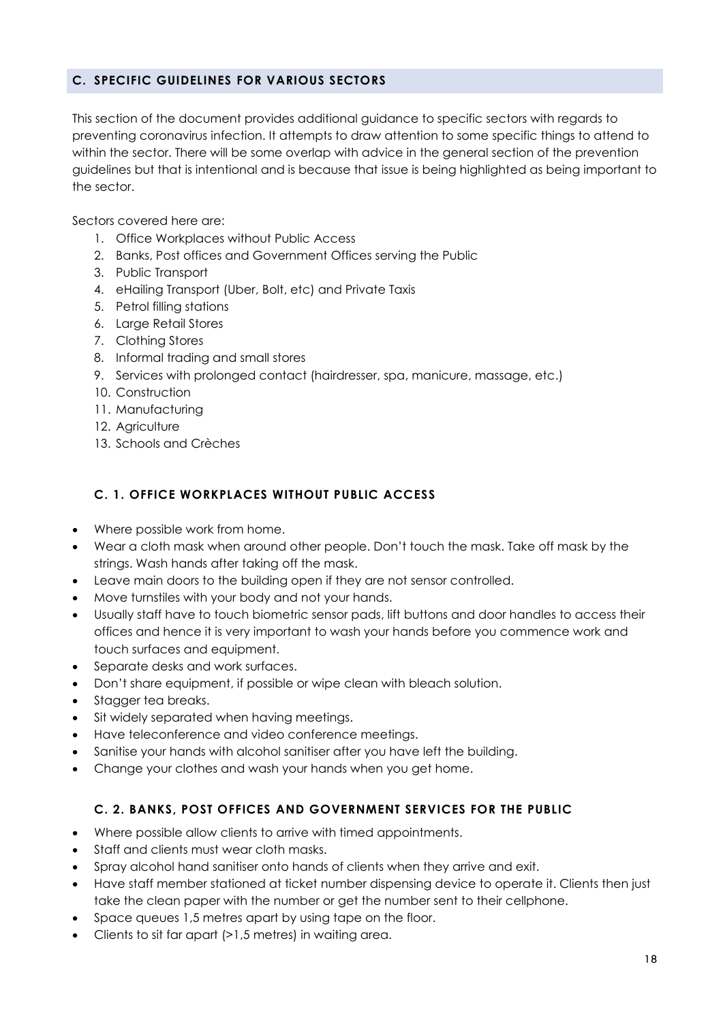#### <span id="page-18-0"></span>**C. SPECIFIC GUIDELINES FOR VARIOUS SECTORS**

This section of the document provides additional guidance to specific sectors with regards to preventing coronavirus infection. It attempts to draw attention to some specific things to attend to within the sector. There will be some overlap with advice in the general section of the prevention guidelines but that is intentional and is because that issue is being highlighted as being important to the sector.

Sectors covered here are:

- 1. Office Workplaces without Public Access
- 2. Banks, Post offices and Government Offices serving the Public
- 3. Public Transport
- 4. eHailing Transport (Uber, Bolt, etc) and Private Taxis
- 5. Petrol filling stations
- 6. Large Retail Stores
- 7. Clothing Stores
- 8. Informal trading and small stores
- 9. Services with prolonged contact (hairdresser, spa, manicure, massage, etc.)
- 10. Construction
- 11. Manufacturing
- 12. Agriculture
- 13. Schools and Crèches

## <span id="page-18-1"></span>**C. 1. OFFICE WORKPLACES WITHOUT PUBLIC ACCESS**

- Where possible work from home.
- Wear a cloth mask when around other people. Don't touch the mask. Take off mask by the strings. Wash hands after taking off the mask.
- Leave main doors to the building open if they are not sensor controlled.
- Move turnstiles with your body and not your hands.
- Usually staff have to touch biometric sensor pads, lift buttons and door handles to access their offices and hence it is very important to wash your hands before you commence work and touch surfaces and equipment.
- Separate desks and work surfaces.
- Don't share equipment, if possible or wipe clean with bleach solution.
- Stagger tea breaks.
- Sit widely separated when having meetings.
- Have teleconference and video conference meetings.
- Sanitise your hands with alcohol sanitiser after you have left the building.
- Change your clothes and wash your hands when you get home.

## <span id="page-18-2"></span>**C. 2. BANKS, POST OFFICES AND GOVERNMENT SERVICES FOR THE PUBLIC**

- Where possible allow clients to arrive with timed appointments.
- Staff and clients must wear cloth masks.
- Spray alcohol hand sanitiser onto hands of clients when they arrive and exit.
- Have staff member stationed at ticket number dispensing device to operate it. Clients then just take the clean paper with the number or get the number sent to their cellphone.
- Space queues 1,5 metres apart by using tape on the floor.
- Clients to sit far apart (>1,5 metres) in waiting area.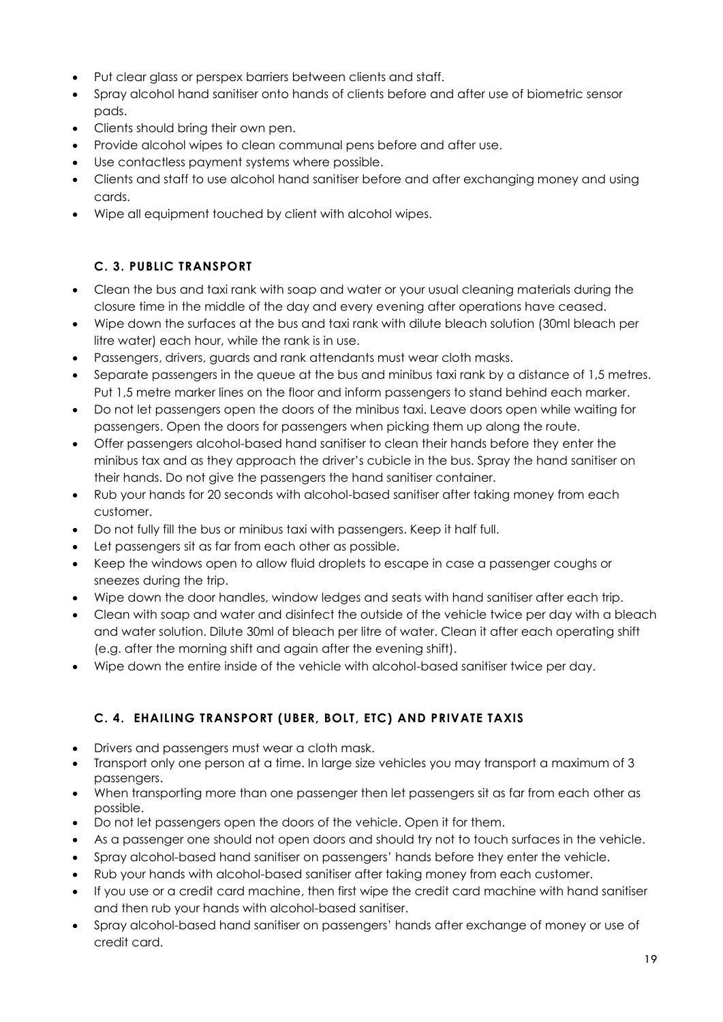- Put clear glass or perspex barriers between clients and staff.
- Spray alcohol hand sanitiser onto hands of clients before and after use of biometric sensor pads.
- Clients should bring their own pen.
- Provide alcohol wipes to clean communal pens before and after use.
- Use contactless payment systems where possible.
- Clients and staff to use alcohol hand sanitiser before and after exchanging money and using cards.
- Wipe all equipment touched by client with alcohol wipes.

# **C. 3. PUBLIC TRANSPORT**

- <span id="page-19-0"></span> Clean the bus and taxi rank with soap and water or your usual cleaning materials during the closure time in the middle of the day and every evening after operations have ceased.
- Wipe down the surfaces at the bus and taxi rank with dilute bleach solution (30ml bleach per litre water) each hour, while the rank is in use.
- Passengers, drivers, guards and rank attendants must wear cloth masks.
- Separate passengers in the queue at the bus and minibus taxi rank by a distance of 1,5 metres. Put 1,5 metre marker lines on the floor and inform passengers to stand behind each marker.
- Do not let passengers open the doors of the minibus taxi. Leave doors open while waiting for passengers. Open the doors for passengers when picking them up along the route.
- Offer passengers alcohol-based hand sanitiser to clean their hands before they enter the minibus tax and as they approach the driver's cubicle in the bus. Spray the hand sanitiser on their hands. Do not give the passengers the hand sanitiser container.
- Rub your hands for 20 seconds with alcohol-based sanitiser after taking money from each customer.
- Do not fully fill the bus or minibus taxi with passengers. Keep it half full.
- Let passengers sit as far from each other as possible.
- Keep the windows open to allow fluid droplets to escape in case a passenger coughs or sneezes during the trip.
- Wipe down the door handles, window ledges and seats with hand sanitiser after each trip.
- Clean with soap and water and disinfect the outside of the vehicle twice per day with a bleach and water solution. Dilute 30ml of bleach per litre of water. Clean it after each operating shift (e.g. after the morning shift and again after the evening shift).
- Wipe down the entire inside of the vehicle with alcohol-based sanitiser twice per day.

# <span id="page-19-1"></span>**C. 4. EHAILING TRANSPORT (UBER, BOLT, ETC) AND PRIVATE TAXIS**

- Drivers and passengers must wear a cloth mask.
- Transport only one person at a time. In large size vehicles you may transport a maximum of 3 passengers.
- When transporting more than one passenger then let passengers sit as far from each other as possible.
- Do not let passengers open the doors of the vehicle. Open it for them.
- As a passenger one should not open doors and should try not to touch surfaces in the vehicle.
- Spray alcohol-based hand sanitiser on passengers' hands before they enter the vehicle.
- Rub your hands with alcohol-based sanitiser after taking money from each customer.
- If you use or a credit card machine, then first wipe the credit card machine with hand sanitiser and then rub your hands with alcohol-based sanitiser.
- Spray alcohol-based hand sanitiser on passengers' hands after exchange of money or use of credit card.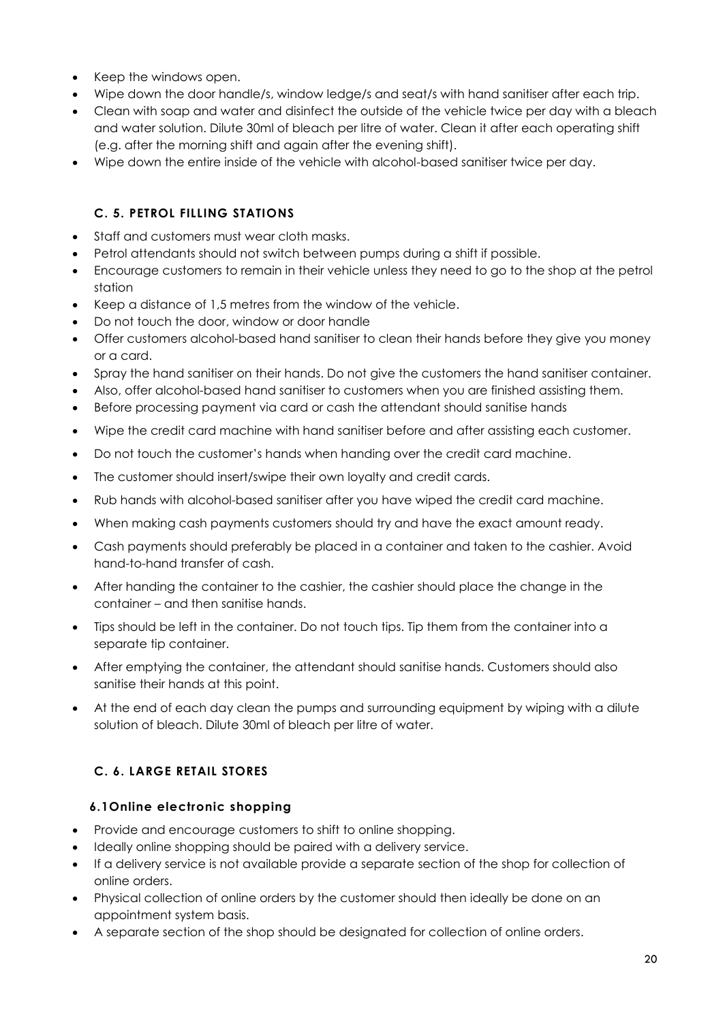- Keep the windows open.
- Wipe down the door handle/s, window ledge/s and seat/s with hand sanitiser after each trip.
- Clean with soap and water and disinfect the outside of the vehicle twice per day with a bleach and water solution. Dilute 30ml of bleach per litre of water. Clean it after each operating shift (e.g. after the morning shift and again after the evening shift).
- Wipe down the entire inside of the vehicle with alcohol-based sanitiser twice per day.

#### **C. 5. PETROL FILLING STATIONS**

- <span id="page-20-0"></span>• Staff and customers must wear cloth masks.
- Petrol attendants should not switch between pumps during a shift if possible.
- Encourage customers to remain in their vehicle unless they need to go to the shop at the petrol station
- Keep a distance of 1,5 metres from the window of the vehicle.
- Do not touch the door, window or door handle
- Offer customers alcohol-based hand sanitiser to clean their hands before they give you money or a card.
- Spray the hand sanitiser on their hands. Do not give the customers the hand sanitiser container.
- Also, offer alcohol-based hand sanitiser to customers when you are finished assisting them.
- Before processing payment via card or cash the attendant should sanitise hands
- Wipe the credit card machine with hand sanitiser before and after assisting each customer.
- Do not touch the customer's hands when handing over the credit card machine.
- The customer should insert/swipe their own loyalty and credit cards.
- Rub hands with alcohol-based sanitiser after you have wiped the credit card machine.
- When making cash payments customers should try and have the exact amount ready.
- Cash payments should preferably be placed in a container and taken to the cashier. Avoid hand-to-hand transfer of cash.
- After handing the container to the cashier, the cashier should place the change in the container – and then sanitise hands.
- Tips should be left in the container. Do not touch tips. Tip them from the container into a separate tip container.
- After emptying the container, the attendant should sanitise hands. Customers should also sanitise their hands at this point.
- At the end of each day clean the pumps and surrounding equipment by wiping with a dilute solution of bleach. Dilute 30ml of bleach per litre of water.

# <span id="page-20-1"></span>**C. 6. LARGE RETAIL STORES**

#### <span id="page-20-2"></span>**6.1Online electronic shopping**

- Provide and encourage customers to shift to online shopping.
- Ideally online shopping should be paired with a delivery service.
- If a delivery service is not available provide a separate section of the shop for collection of online orders.
- Physical collection of online orders by the customer should then ideally be done on an appointment system basis.
- A separate section of the shop should be designated for collection of online orders.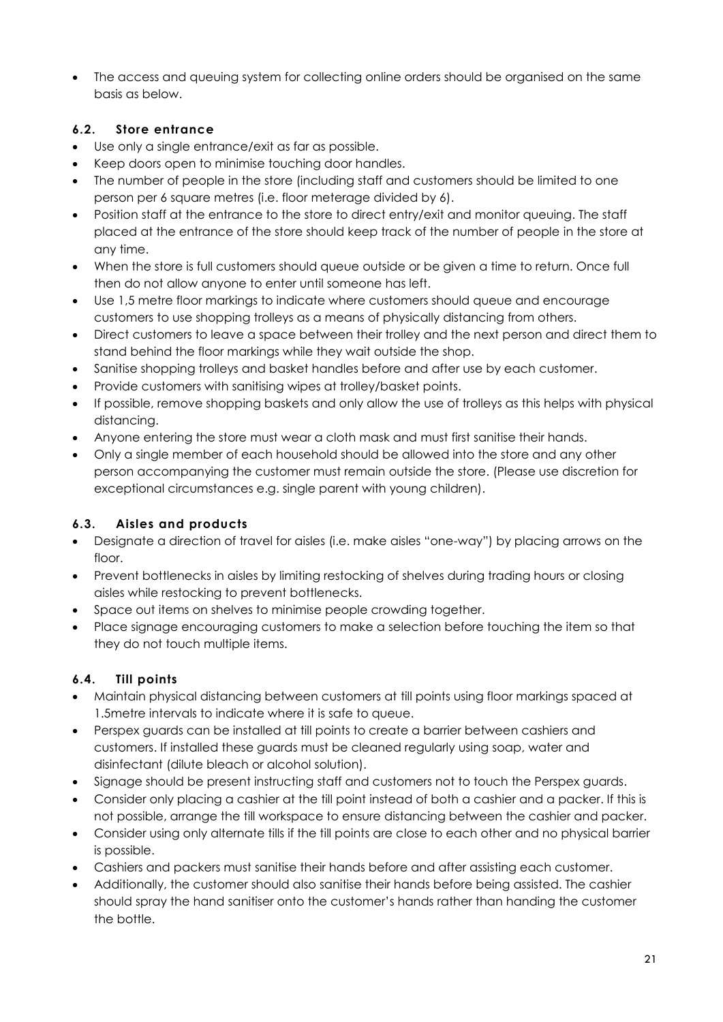• The access and queuing system for collecting online orders should be organised on the same basis as below.

## <span id="page-21-0"></span>**6.2. Store entrance**

- Use only a single entrance/exit as far as possible.
- Keep doors open to minimise touching door handles.
- The number of people in the store (including staff and customers should be limited to one person per 6 square metres (i.e. floor meterage divided by 6).
- Position staff at the entrance to the store to direct entry/exit and monitor queuing. The staff placed at the entrance of the store should keep track of the number of people in the store at any time.
- When the store is full customers should queue outside or be given a time to return. Once full then do not allow anyone to enter until someone has left.
- Use 1,5 metre floor markings to indicate where customers should queue and encourage customers to use shopping trolleys as a means of physically distancing from others.
- Direct customers to leave a space between their trolley and the next person and direct them to stand behind the floor markings while they wait outside the shop.
- Sanitise shopping trolleys and basket handles before and after use by each customer.
- Provide customers with sanitising wipes at trolley/basket points.
- If possible, remove shopping baskets and only allow the use of trolleys as this helps with physical distancing.
- Anyone entering the store must wear a cloth mask and must first sanitise their hands.
- Only a single member of each household should be allowed into the store and any other person accompanying the customer must remain outside the store. (Please use discretion for exceptional circumstances e.g. single parent with young children).

# <span id="page-21-1"></span>**6.3. Aisles and products**

- Designate a direction of travel for aisles (i.e. make aisles "one-way") by placing arrows on the floor.
- Prevent bottlenecks in aisles by limiting restocking of shelves during trading hours or closing aisles while restocking to prevent bottlenecks.
- Space out items on shelves to minimise people crowding together.
- Place signage encouraging customers to make a selection before touching the item so that they do not touch multiple items.

# <span id="page-21-2"></span>**6.4. Till points**

- Maintain physical distancing between customers at till points using floor markings spaced at 1.5metre intervals to indicate where it is safe to queue.
- Perspex guards can be installed at till points to create a barrier between cashiers and customers. If installed these guards must be cleaned regularly using soap, water and disinfectant (dilute bleach or alcohol solution).
- Signage should be present instructing staff and customers not to touch the Perspex guards.
- Consider only placing a cashier at the till point instead of both a cashier and a packer. If this is not possible, arrange the till workspace to ensure distancing between the cashier and packer.
- Consider using only alternate tills if the till points are close to each other and no physical barrier is possible.
- Cashiers and packers must sanitise their hands before and after assisting each customer.
- Additionally, the customer should also sanitise their hands before being assisted. The cashier should spray the hand sanitiser onto the customer's hands rather than handing the customer the bottle.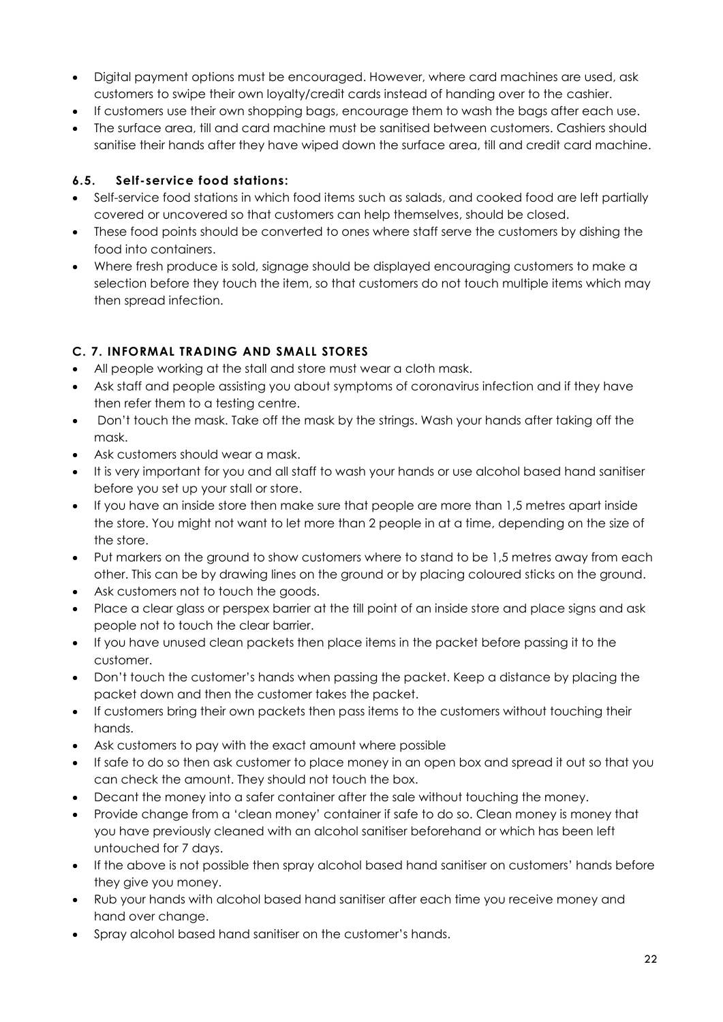- Digital payment options must be encouraged. However, where card machines are used, ask customers to swipe their own loyalty/credit cards instead of handing over to the cashier.
- If customers use their own shopping bags, encourage them to wash the bags after each use.
- The surface area, till and card machine must be sanitised between customers. Cashiers should sanitise their hands after they have wiped down the surface area, till and credit card machine.

## <span id="page-22-0"></span>**6.5. Self-service food stations:**

- Self-service food stations in which food items such as salads, and cooked food are left partially covered or uncovered so that customers can help themselves, should be closed.
- These food points should be converted to ones where staff serve the customers by dishing the food into containers.
- Where fresh produce is sold, signage should be displayed encouraging customers to make a selection before they touch the item, so that customers do not touch multiple items which may then spread infection.

## <span id="page-22-1"></span>**C. 7. INFORMAL TRADING AND SMALL STORES**

- All people working at the stall and store must wear a cloth mask.
- Ask staff and people assisting you about symptoms of coronavirus infection and if they have then refer them to a testing centre.
- Don't touch the mask. Take off the mask by the strings. Wash your hands after taking off the mask.
- Ask customers should wear a mask.
- It is very important for you and all staff to wash your hands or use alcohol based hand sanitiser before you set up your stall or store.
- If you have an inside store then make sure that people are more than 1,5 metres apart inside the store. You might not want to let more than 2 people in at a time, depending on the size of the store.
- Put markers on the ground to show customers where to stand to be 1,5 metres away from each other. This can be by drawing lines on the ground or by placing coloured sticks on the ground.
- Ask customers not to touch the goods.
- Place a clear glass or perspex barrier at the till point of an inside store and place signs and ask people not to touch the clear barrier.
- If you have unused clean packets then place items in the packet before passing it to the customer.
- Don't touch the customer's hands when passing the packet. Keep a distance by placing the packet down and then the customer takes the packet.
- If customers bring their own packets then pass items to the customers without touching their hands.
- Ask customers to pay with the exact amount where possible
- If safe to do so then ask customer to place money in an open box and spread it out so that you can check the amount. They should not touch the box.
- Decant the money into a safer container after the sale without touching the money.
- Provide change from a 'clean money' container if safe to do so. Clean money is money that you have previously cleaned with an alcohol sanitiser beforehand or which has been left untouched for 7 days.
- If the above is not possible then spray alcohol based hand sanitiser on customers' hands before they give you money.
- Rub your hands with alcohol based hand sanitiser after each time you receive money and hand over change.
- Spray alcohol based hand sanitiser on the customer's hands.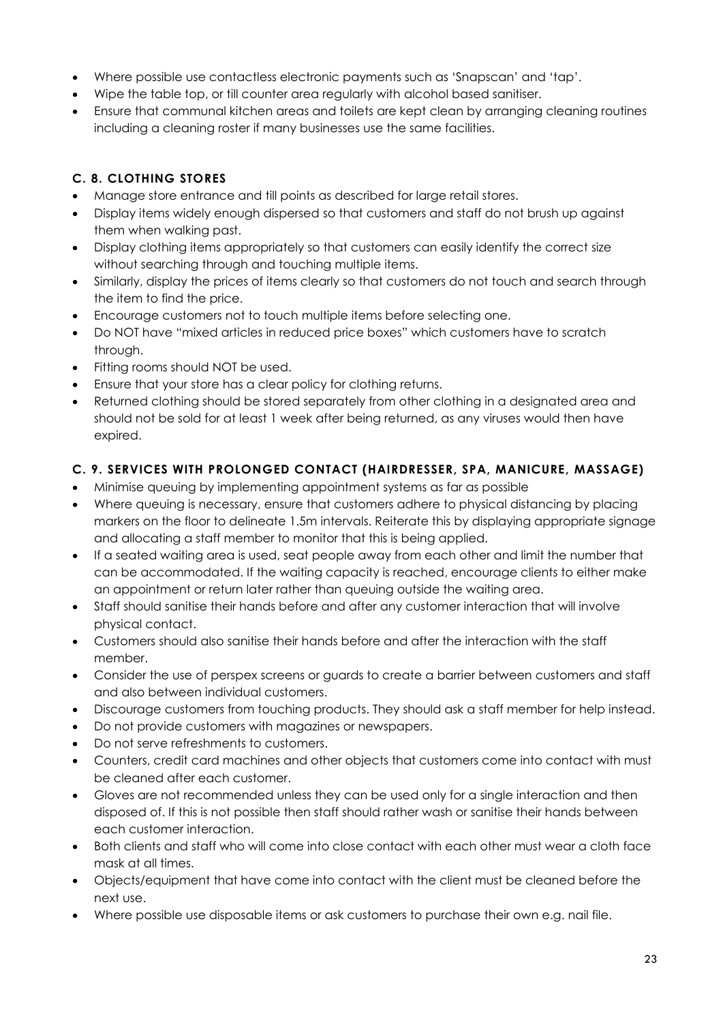- Where possible use contactless electronic payments such as 'Snapscan' and 'tap'.
- Wipe the table top, or till counter area regularly with alcohol based sanitiser.
- Ensure that communal kitchen areas and toilets are kept clean by arranging cleaning routines including a cleaning roster if many businesses use the same facilities.

## <span id="page-23-0"></span>**C. 8. CLOTHING STORES**

- Manage store entrance and till points as described for large retail stores.
- Display items widely enough dispersed so that customers and staff do not brush up against them when walking past.
- Display clothing items appropriately so that customers can easily identify the correct size without searching through and touching multiple items.
- Similarly, display the prices of items clearly so that customers do not touch and search through the item to find the price.
- Encourage customers not to touch multiple items before selecting one.
- Do NOT have "mixed articles in reduced price boxes" which customers have to scratch through.
- Fitting rooms should NOT be used.
- Ensure that your store has a clear policy for clothing returns.
- Returned clothing should be stored separately from other clothing in a designated area and should not be sold for at least 1 week after being returned, as any viruses would then have expired.

## <span id="page-23-1"></span>**C. 9. SERVICES WITH PROLONGED CONTACT (HAIRDRESSER, SPA, MANICURE, MASSAGE)**

- Minimise queuing by implementing appointment systems as far as possible
- Where queuing is necessary, ensure that customers adhere to physical distancing by placing markers on the floor to delineate 1.5m intervals. Reiterate this by displaying appropriate signage and allocating a staff member to monitor that this is being applied.
- If a seated waiting area is used, seat people away from each other and limit the number that can be accommodated. If the waiting capacity is reached, encourage clients to either make an appointment or return later rather than queuing outside the waiting area.
- Staff should sanitise their hands before and after any customer interaction that will involve physical contact.
- Customers should also sanitise their hands before and after the interaction with the staff member.
- Consider the use of perspex screens or guards to create a barrier between customers and staff and also between individual customers.
- Discourage customers from touching products. They should ask a staff member for help instead.
- Do not provide customers with magazines or newspapers.
- Do not serve refreshments to customers.
- Counters, credit card machines and other objects that customers come into contact with must be cleaned after each customer.
- Gloves are not recommended unless they can be used only for a single interaction and then disposed of. If this is not possible then staff should rather wash or sanitise their hands between each customer interaction.
- Both clients and staff who will come into close contact with each other must wear a cloth face mask at all times.
- Objects/equipment that have come into contact with the client must be cleaned before the next use.
- Where possible use disposable items or ask customers to purchase their own e.g. nail file.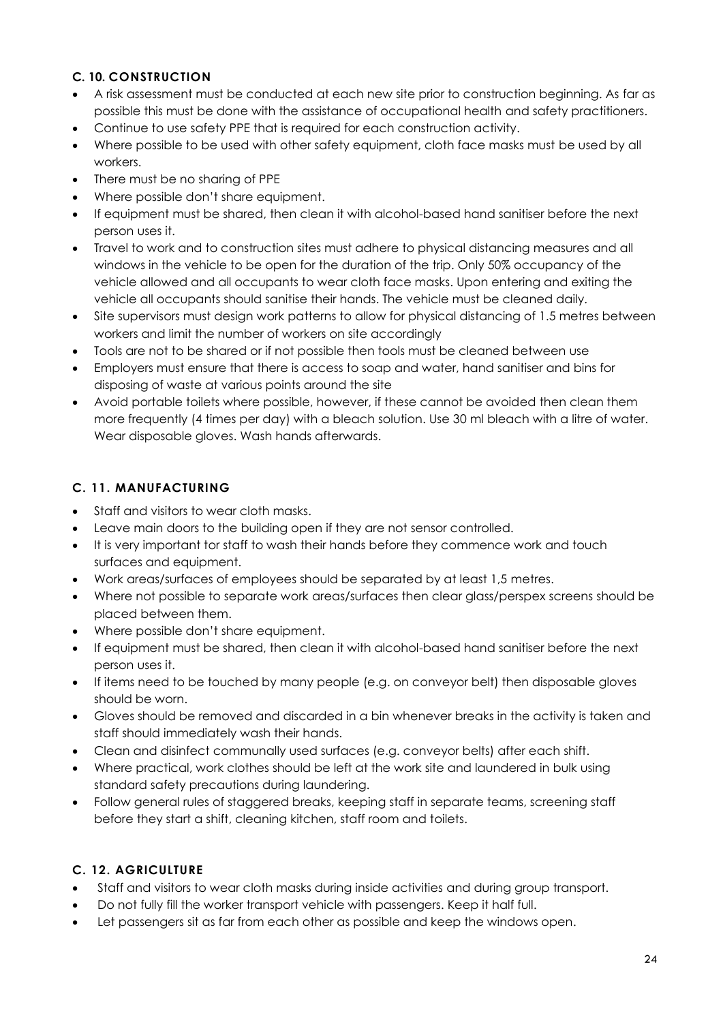## <span id="page-24-0"></span>**C. 10. CONSTRUCTION**

- A risk assessment must be conducted at each new site prior to construction beginning. As far as possible this must be done with the assistance of occupational health and safety practitioners.
- Continue to use safety PPE that is required for each construction activity.
- Where possible to be used with other safety equipment, cloth face masks must be used by all workers.
- There must be no sharing of PPE
- Where possible don't share equipment.
- If equipment must be shared, then clean it with alcohol-based hand sanitiser before the next person uses it.
- Travel to work and to construction sites must adhere to physical distancing measures and all windows in the vehicle to be open for the duration of the trip. Only 50% occupancy of the vehicle allowed and all occupants to wear cloth face masks. Upon entering and exiting the vehicle all occupants should sanitise their hands. The vehicle must be cleaned daily.
- Site supervisors must design work patterns to allow for physical distancing of 1.5 metres between workers and limit the number of workers on site accordingly
- Tools are not to be shared or if not possible then tools must be cleaned between use
- Employers must ensure that there is access to soap and water, hand sanitiser and bins for disposing of waste at various points around the site
- Avoid portable toilets where possible, however, if these cannot be avoided then clean them more frequently (4 times per day) with a bleach solution. Use 30 ml bleach with a litre of water. Wear disposable gloves. Wash hands afterwards.

# <span id="page-24-1"></span>**C. 11. MANUFACTURING**

- Staff and visitors to wear cloth masks.
- Leave main doors to the building open if they are not sensor controlled.
- It is very important tor staff to wash their hands before they commence work and touch surfaces and equipment.
- Work areas/surfaces of employees should be separated by at least 1,5 metres.
- Where not possible to separate work areas/surfaces then clear glass/perspex screens should be placed between them.
- Where possible don't share equipment.
- If equipment must be shared, then clean it with alcohol-based hand sanitiser before the next person uses it.
- If items need to be touched by many people (e.g. on conveyor belt) then disposable gloves should be worn.
- Gloves should be removed and discarded in a bin whenever breaks in the activity is taken and staff should immediately wash their hands.
- Clean and disinfect communally used surfaces (e.g. conveyor belts) after each shift.
- Where practical, work clothes should be left at the work site and laundered in bulk using standard safety precautions during laundering.
- Follow general rules of staggered breaks, keeping staff in separate teams, screening staff before they start a shift, cleaning kitchen, staff room and toilets.

# <span id="page-24-2"></span>**C. 12. AGRICULTURE**

- Staff and visitors to wear cloth masks during inside activities and during group transport.
- Do not fully fill the worker transport vehicle with passengers. Keep it half full.
- Let passengers sit as far from each other as possible and keep the windows open.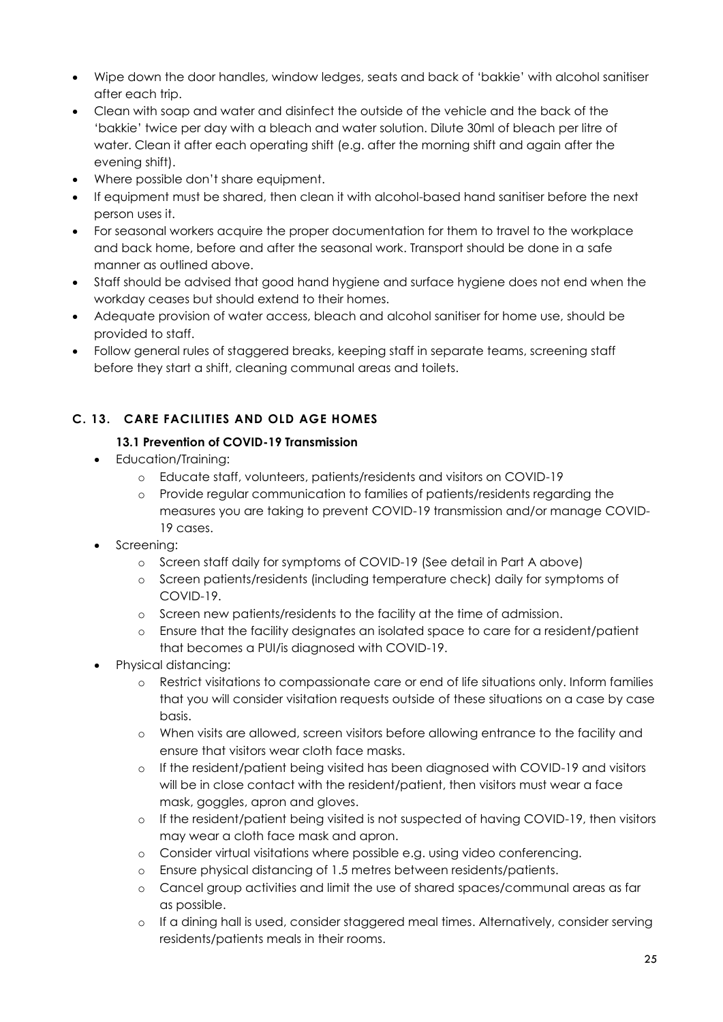- Wipe down the door handles, window ledges, seats and back of 'bakkie' with alcohol sanitiser after each trip.
- Clean with soap and water and disinfect the outside of the vehicle and the back of the 'bakkie' twice per day with a bleach and water solution. Dilute 30ml of bleach per litre of water. Clean it after each operating shift (e.g. after the morning shift and again after the evening shift).
- Where possible don't share equipment.
- If equipment must be shared, then clean it with alcohol-based hand sanitiser before the next person uses it.
- For seasonal workers acquire the proper documentation for them to travel to the workplace and back home, before and after the seasonal work. Transport should be done in a safe manner as outlined above.
- Staff should be advised that good hand hygiene and surface hygiene does not end when the workday ceases but should extend to their homes.
- Adequate provision of water access, bleach and alcohol sanitiser for home use, should be provided to staff.
- Follow general rules of staggered breaks, keeping staff in separate teams, screening staff before they start a shift, cleaning communal areas and toilets.

# <span id="page-25-0"></span>**C. 13. CARE FACILITIES AND OLD AGE HOMES**

## **13.1 Prevention of COVID-19 Transmission**

- Education/Training:
	- o Educate staff, volunteers, patients/residents and visitors on COVID-19
	- o Provide regular communication to families of patients/residents regarding the measures you are taking to prevent COVID-19 transmission and/or manage COVID-19 cases.
- Screening:
	- o Screen staff daily for symptoms of COVID-19 (See detail in Part A above)
	- o Screen patients/residents (including temperature check) daily for symptoms of COVID-19.
	- o Screen new patients/residents to the facility at the time of admission.
	- o Ensure that the facility designates an isolated space to care for a resident/patient that becomes a PUI/is diagnosed with COVID-19.
- Physical distancing:
	- o Restrict visitations to compassionate care or end of life situations only. Inform families that you will consider visitation requests outside of these situations on a case by case basis.
	- o When visits are allowed, screen visitors before allowing entrance to the facility and ensure that visitors wear cloth face masks.
	- o If the resident/patient being visited has been diagnosed with COVID-19 and visitors will be in close contact with the resident/patient, then visitors must wear a face mask, goggles, apron and gloves.
	- o If the resident/patient being visited is not suspected of having COVID-19, then visitors may wear a cloth face mask and apron.
	- o Consider virtual visitations where possible e.g. using video conferencing.
	- o Ensure physical distancing of 1.5 metres between residents/patients.
	- o Cancel group activities and limit the use of shared spaces/communal areas as far as possible.
	- o If a dining hall is used, consider staggered meal times. Alternatively, consider serving residents/patients meals in their rooms.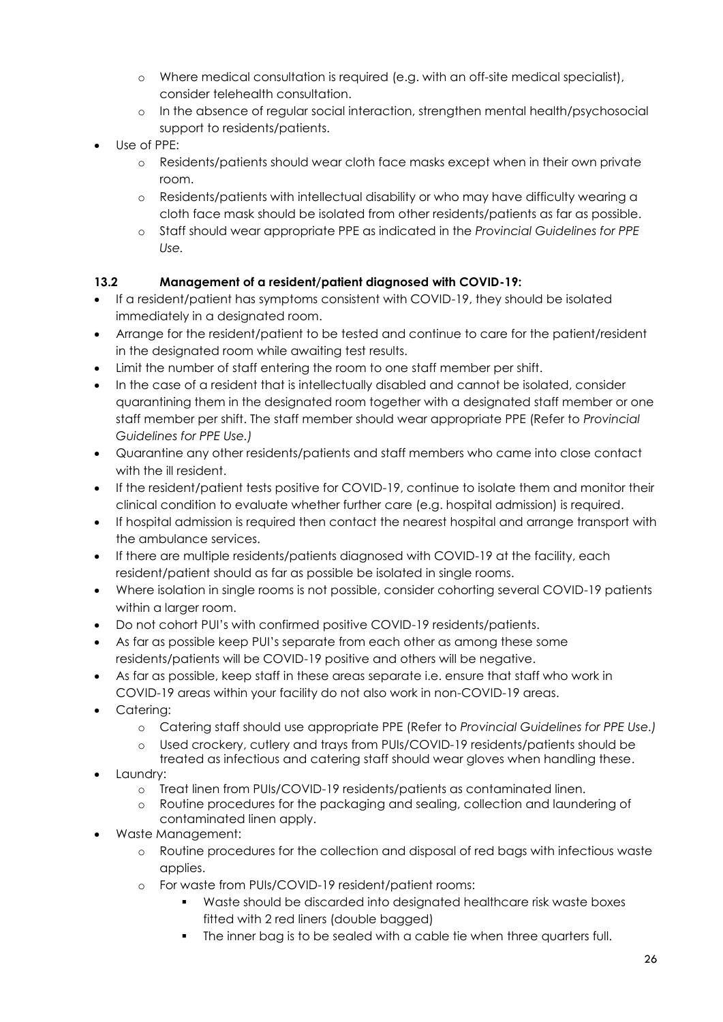- o Where medical consultation is required (e.g. with an off-site medical specialist), consider telehealth consultation.
- o In the absence of regular social interaction, strengthen mental health/psychosocial support to residents/patients.
- Use of PPE:
	- o Residents/patients should wear cloth face masks except when in their own private room.
	- o Residents/patients with intellectual disability or who may have difficulty wearing a cloth face mask should be isolated from other residents/patients as far as possible.
	- o Staff should wear appropriate PPE as indicated in the *Provincial Guidelines for PPE Use.*

#### **13.2 Management of a resident/patient diagnosed with COVID-19:**

- If a resident/patient has symptoms consistent with COVID-19, they should be isolated immediately in a designated room.
- Arrange for the resident/patient to be tested and continue to care for the patient/resident in the designated room while awaiting test results.
- Limit the number of staff entering the room to one staff member per shift.
- In the case of a resident that is intellectually disabled and cannot be isolated, consider quarantining them in the designated room together with a designated staff member or one staff member per shift. The staff member should wear appropriate PPE (Refer to *Provincial Guidelines for PPE Use.)*
- Quarantine any other residents/patients and staff members who came into close contact with the ill resident.
- If the resident/patient tests positive for COVID-19, continue to isolate them and monitor their clinical condition to evaluate whether further care (e.g. hospital admission) is required.
- If hospital admission is required then contact the nearest hospital and arrange transport with the ambulance services.
- If there are multiple residents/patients diagnosed with COVID-19 at the facility, each resident/patient should as far as possible be isolated in single rooms.
- Where isolation in single rooms is not possible, consider cohorting several COVID-19 patients within a larger room.
- Do not cohort PUI's with confirmed positive COVID-19 residents/patients.
- As far as possible keep PUI's separate from each other as among these some residents/patients will be COVID-19 positive and others will be negative.
- As far as possible, keep staff in these areas separate i.e. ensure that staff who work in COVID-19 areas within your facility do not also work in non-COVID-19 areas.
- Catering:
	- o Catering staff should use appropriate PPE (Refer to *Provincial Guidelines for PPE Use.)*
	- o Used crockery, cutlery and trays from PUIs/COVID-19 residents/patients should be treated as infectious and catering staff should wear gloves when handling these.
- Laundry:
	- o Treat linen from PUIs/COVID-19 residents/patients as contaminated linen.
	- o Routine procedures for the packaging and sealing, collection and laundering of contaminated linen apply.
- Waste Management:
	- o Routine procedures for the collection and disposal of red bags with infectious waste applies.
	- o For waste from PUIs/COVID-19 resident/patient rooms:
		- Waste should be discarded into designated healthcare risk waste boxes fitted with 2 red liners (double bagged)
		- The inner bag is to be sealed with a cable tie when three quarters full.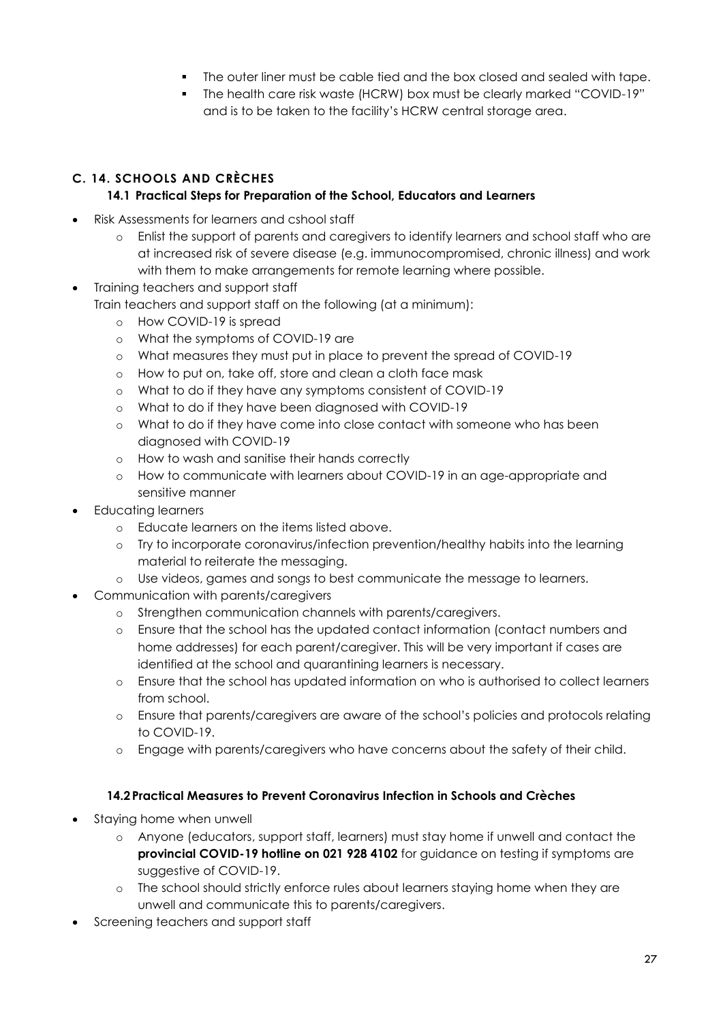- The outer liner must be cable tied and the box closed and sealed with tape.
- The health care risk waste (HCRW) box must be clearly marked "COVID-19" and is to be taken to the facility's HCRW central storage area.

## <span id="page-27-0"></span>**C. 14. SCHOOLS AND CRÈCHES**

## **14.1 Practical Steps for Preparation of the School, Educators and Learners**

- Risk Assessments for learners and cshool staff
	- o Enlist the support of parents and caregivers to identify learners and school staff who are at increased risk of severe disease (e.g. immunocompromised, chronic illness) and work with them to make arrangements for remote learning where possible.
- Training teachers and support staff Train teachers and support staff on the following (at a minimum):
	- o How COVID-19 is spread
	- o What the symptoms of COVID-19 are
	- o What measures they must put in place to prevent the spread of COVID-19
	- o How to put on, take off, store and clean a cloth face mask
	- o What to do if they have any symptoms consistent of COVID-19
	- o What to do if they have been diagnosed with COVID-19
	- o What to do if they have come into close contact with someone who has been diagnosed with COVID-19
	- o How to wash and sanitise their hands correctly
	- o How to communicate with learners about COVID-19 in an age-appropriate and sensitive manner
- Educating learners
	- o Educate learners on the items listed above.
	- o Try to incorporate coronavirus/infection prevention/healthy habits into the learning material to reiterate the messaging.
	- o Use videos, games and songs to best communicate the message to learners.
- Communication with parents/caregivers
	- o Strengthen communication channels with parents/caregivers.
	- o Ensure that the school has the updated contact information (contact numbers and home addresses) for each parent/caregiver. This will be very important if cases are identified at the school and quarantining learners is necessary.
	- o Ensure that the school has updated information on who is authorised to collect learners from school.
	- o Ensure that parents/caregivers are aware of the school's policies and protocols relating to COVID-19.
	- o Engage with parents/caregivers who have concerns about the safety of their child.

#### **14.2 Practical Measures to Prevent Coronavirus Infection in Schools and Crèches**

- <span id="page-27-1"></span>• Staying home when unwell
	- o Anyone (educators, support staff, learners) must stay home if unwell and contact the **provincial COVID-19 hotline on 021 928 4102** for guidance on testing if symptoms are suggestive of COVID-19.
	- o The school should strictly enforce rules about learners staying home when they are unwell and communicate this to parents/caregivers.
- Screening teachers and support staff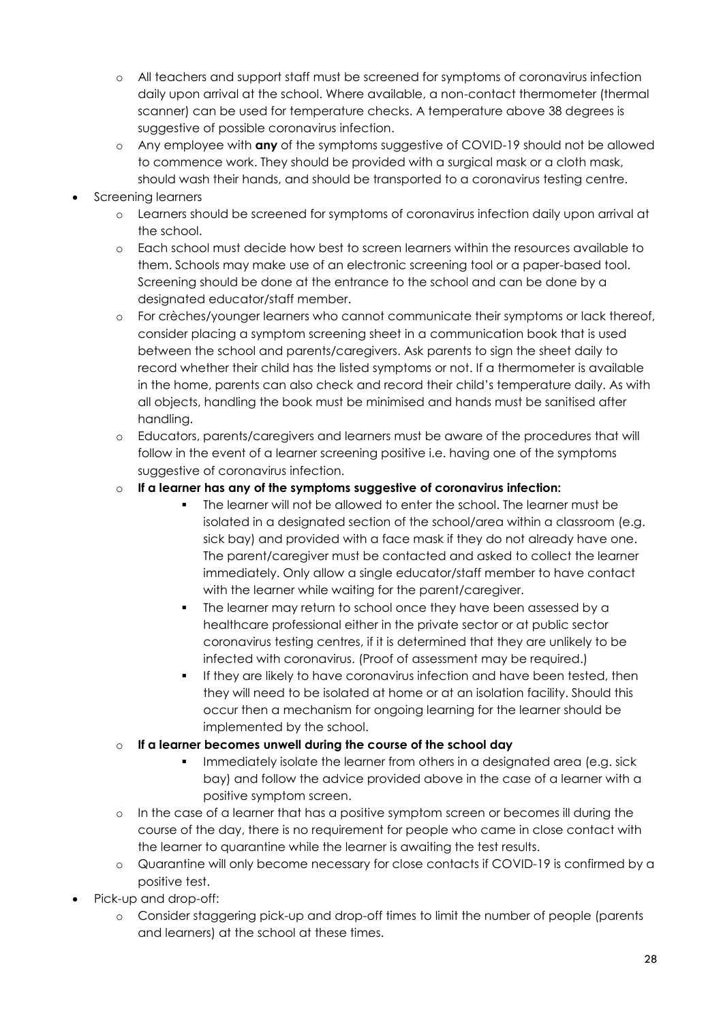- o All teachers and support staff must be screened for symptoms of coronavirus infection daily upon arrival at the school. Where available, a non-contact thermometer (thermal scanner) can be used for temperature checks. A temperature above 38 degrees is suggestive of possible coronavirus infection.
- o Any employee with **any** of the symptoms suggestive of COVID-19 should not be allowed to commence work. They should be provided with a surgical mask or a cloth mask, should wash their hands, and should be transported to a coronavirus testing centre.
- Screening learners
	- o Learners should be screened for symptoms of coronavirus infection daily upon arrival at the school.
	- o Each school must decide how best to screen learners within the resources available to them. Schools may make use of an electronic screening tool or a paper-based tool. Screening should be done at the entrance to the school and can be done by a designated educator/staff member.
	- o For crèches/younger learners who cannot communicate their symptoms or lack thereof, consider placing a symptom screening sheet in a communication book that is used between the school and parents/caregivers. Ask parents to sign the sheet daily to record whether their child has the listed symptoms or not. If a thermometer is available in the home, parents can also check and record their child's temperature daily. As with all objects, handling the book must be minimised and hands must be sanitised after handling.
	- o Educators, parents/caregivers and learners must be aware of the procedures that will follow in the event of a learner screening positive i.e. having one of the symptoms suggestive of coronavirus infection.
	- o **If a learner has any of the symptoms suggestive of coronavirus infection:**
		- The learner will not be allowed to enter the school. The learner must be isolated in a designated section of the school/area within a classroom (e.g. sick bay) and provided with a face mask if they do not already have one. The parent/caregiver must be contacted and asked to collect the learner immediately. Only allow a single educator/staff member to have contact with the learner while waiting for the parent/caregiver.
		- The learner may return to school once they have been assessed by a healthcare professional either in the private sector or at public sector coronavirus testing centres, if it is determined that they are unlikely to be infected with coronavirus. (Proof of assessment may be required.)
		- If they are likely to have coronavirus infection and have been tested, then they will need to be isolated at home or at an isolation facility. Should this occur then a mechanism for ongoing learning for the learner should be implemented by the school.
	- o **If a learner becomes unwell during the course of the school day**
		- Immediately isolate the learner from others in a designated area (e.g. sick bay) and follow the advice provided above in the case of a learner with a positive symptom screen.
	- o In the case of a learner that has a positive symptom screen or becomes ill during the course of the day, there is no requirement for people who came in close contact with the learner to quarantine while the learner is awaiting the test results.
	- o Quarantine will only become necessary for close contacts if COVID-19 is confirmed by a positive test.
- Pick-up and drop-off:
	- o Consider staggering pick-up and drop-off times to limit the number of people (parents and learners) at the school at these times.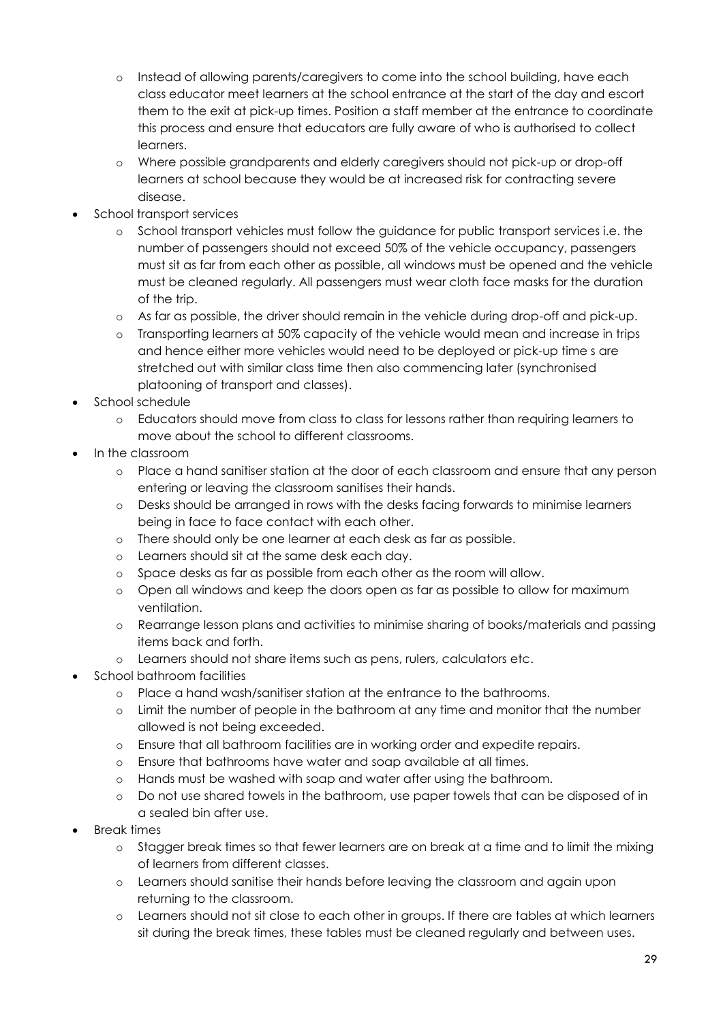- o Instead of allowing parents/caregivers to come into the school building, have each class educator meet learners at the school entrance at the start of the day and escort them to the exit at pick-up times. Position a staff member at the entrance to coordinate this process and ensure that educators are fully aware of who is authorised to collect learners.
- o Where possible grandparents and elderly caregivers should not pick-up or drop-off learners at school because they would be at increased risk for contracting severe disease.
- School transport services
	- o School transport vehicles must follow the guidance for public transport services i.e. the number of passengers should not exceed 50% of the vehicle occupancy, passengers must sit as far from each other as possible, all windows must be opened and the vehicle must be cleaned regularly. All passengers must wear cloth face masks for the duration of the trip.
	- o As far as possible, the driver should remain in the vehicle during drop-off and pick-up.
	- o Transporting learners at 50% capacity of the vehicle would mean and increase in trips and hence either more vehicles would need to be deployed or pick-up time s are stretched out with similar class time then also commencing later (synchronised platooning of transport and classes).
- School schedule
	- o Educators should move from class to class for lessons rather than requiring learners to move about the school to different classrooms.
- In the classroom
	- o Place a hand sanitiser station at the door of each classroom and ensure that any person entering or leaving the classroom sanitises their hands.
	- o Desks should be arranged in rows with the desks facing forwards to minimise learners being in face to face contact with each other.
	- o There should only be one learner at each desk as far as possible.
	- o Learners should sit at the same desk each day.
	- o Space desks as far as possible from each other as the room will allow.
	- o Open all windows and keep the doors open as far as possible to allow for maximum ventilation.
	- o Rearrange lesson plans and activities to minimise sharing of books/materials and passing items back and forth.
	- o Learners should not share items such as pens, rulers, calculators etc.
- School bathroom facilities
	- o Place a hand wash/sanitiser station at the entrance to the bathrooms.
	- o Limit the number of people in the bathroom at any time and monitor that the number allowed is not being exceeded.
	- o Ensure that all bathroom facilities are in working order and expedite repairs.
	- o Ensure that bathrooms have water and soap available at all times.
	- o Hands must be washed with soap and water after using the bathroom.
	- o Do not use shared towels in the bathroom, use paper towels that can be disposed of in a sealed bin after use.
- Break times
	- o Stagger break times so that fewer learners are on break at a time and to limit the mixing of learners from different classes.
	- o Learners should sanitise their hands before leaving the classroom and again upon returning to the classroom.
	- o Learners should not sit close to each other in groups. If there are tables at which learners sit during the break times, these tables must be cleaned regularly and between uses.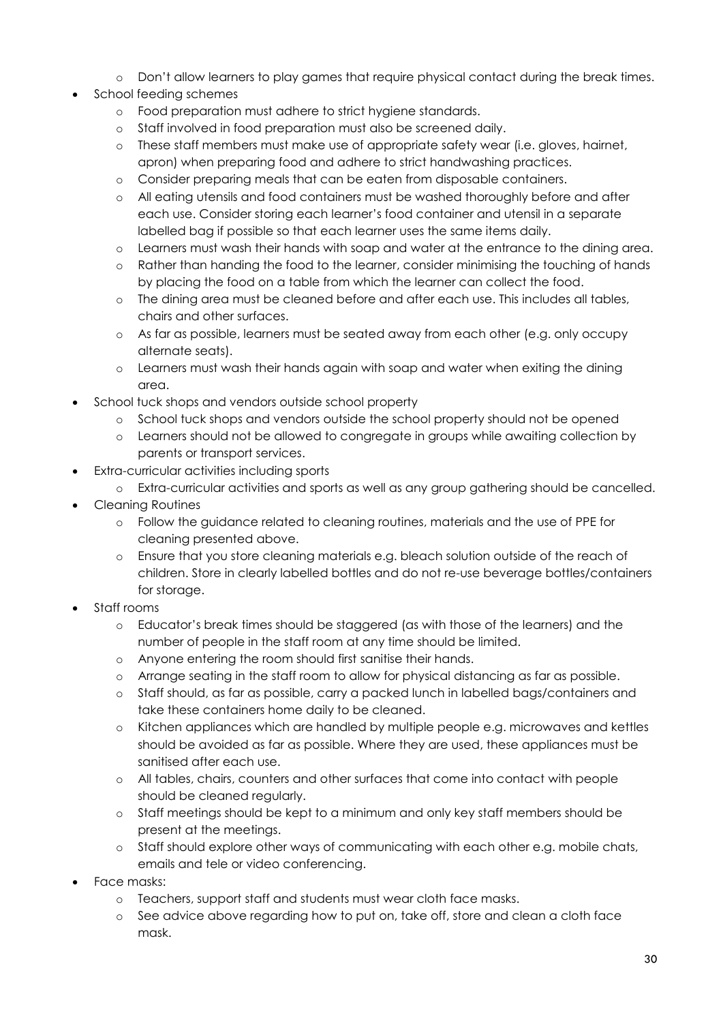- o Don't allow learners to play games that require physical contact during the break times.
- School feeding schemes
	- o Food preparation must adhere to strict hygiene standards.
	- o Staff involved in food preparation must also be screened daily.
	- o These staff members must make use of appropriate safety wear (i.e. gloves, hairnet, apron) when preparing food and adhere to strict handwashing practices.
	- o Consider preparing meals that can be eaten from disposable containers.
	- o All eating utensils and food containers must be washed thoroughly before and after each use. Consider storing each learner's food container and utensil in a separate labelled bag if possible so that each learner uses the same items daily.
	- o Learners must wash their hands with soap and water at the entrance to the dining area.
	- o Rather than handing the food to the learner, consider minimising the touching of hands by placing the food on a table from which the learner can collect the food.
	- o The dining area must be cleaned before and after each use. This includes all tables, chairs and other surfaces.
	- o As far as possible, learners must be seated away from each other (e.g. only occupy alternate seats).
	- o Learners must wash their hands again with soap and water when exiting the dining area.
- School tuck shops and vendors outside school property
	- o School tuck shops and vendors outside the school property should not be opened
	- o Learners should not be allowed to congregate in groups while awaiting collection by parents or transport services.
- Extra-curricular activities including sports
	- o Extra-curricular activities and sports as well as any group gathering should be cancelled.
- Cleaning Routines
	- o Follow the guidance related to cleaning routines, materials and the use of PPE for cleaning presented above.
	- o Ensure that you store cleaning materials e.g. bleach solution outside of the reach of children. Store in clearly labelled bottles and do not re-use beverage bottles/containers for storage.
- Staff rooms
	- o Educator's break times should be staggered (as with those of the learners) and the number of people in the staff room at any time should be limited.
	- o Anyone entering the room should first sanitise their hands.
	- o Arrange seating in the staff room to allow for physical distancing as far as possible.
	- o Staff should, as far as possible, carry a packed lunch in labelled bags/containers and take these containers home daily to be cleaned.
	- o Kitchen appliances which are handled by multiple people e.g. microwaves and kettles should be avoided as far as possible. Where they are used, these appliances must be sanitised after each use.
	- o All tables, chairs, counters and other surfaces that come into contact with people should be cleaned regularly.
	- o Staff meetings should be kept to a minimum and only key staff members should be present at the meetings.
	- o Staff should explore other ways of communicating with each other e.g. mobile chats, emails and tele or video conferencing.
- Face masks:
	- o Teachers, support staff and students must wear cloth face masks.
	- o See advice above regarding how to put on, take off, store and clean a cloth face mask.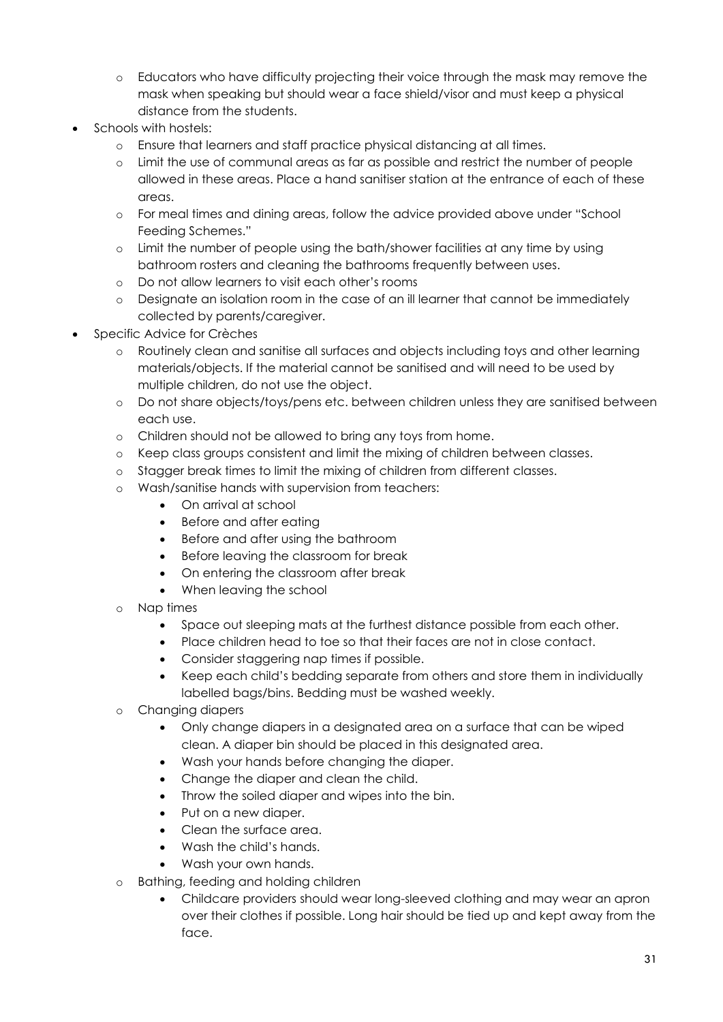- o Educators who have difficulty projecting their voice through the mask may remove the mask when speaking but should wear a face shield/visor and must keep a physical distance from the students.
- Schools with hostels:
	- o Ensure that learners and staff practice physical distancing at all times.
	- o Limit the use of communal areas as far as possible and restrict the number of people allowed in these areas. Place a hand sanitiser station at the entrance of each of these areas.
	- o For meal times and dining areas, follow the advice provided above under "School Feeding Schemes."
	- o Limit the number of people using the bath/shower facilities at any time by using bathroom rosters and cleaning the bathrooms frequently between uses.
	- o Do not allow learners to visit each other's rooms
	- o Designate an isolation room in the case of an ill learner that cannot be immediately collected by parents/caregiver.
- Specific Advice for Crèches
	- o Routinely clean and sanitise all surfaces and objects including toys and other learning materials/objects. If the material cannot be sanitised and will need to be used by multiple children, do not use the object.
	- o Do not share objects/toys/pens etc. between children unless they are sanitised between each use.
	- o Children should not be allowed to bring any toys from home.
	- o Keep class groups consistent and limit the mixing of children between classes.
	- o Stagger break times to limit the mixing of children from different classes.
	- o Wash/sanitise hands with supervision from teachers:
		- On arrival at school
		- Before and after eating
		- Before and after using the bathroom
		- **•** Before leaving the classroom for break
		- On entering the classroom after break
		- When leaving the school
	- o Nap times
		- Space out sleeping mats at the furthest distance possible from each other.
		- Place children head to toe so that their faces are not in close contact.
		- Consider staggering nap times if possible.
		- Keep each child's bedding separate from others and store them in individually labelled bags/bins. Bedding must be washed weekly.
	- o Changing diapers
		- Only change diapers in a designated area on a surface that can be wiped clean. A diaper bin should be placed in this designated area.
		- Wash your hands before changing the diaper.
		- Change the diaper and clean the child.
		- Throw the soiled diaper and wipes into the bin.
		- Put on a new diaper.
		- Clean the surface area.
		- Wash the child's hands.
		- Wash your own hands.
	- o Bathing, feeding and holding children
		- Childcare providers should wear long-sleeved clothing and may wear an apron over their clothes if possible. Long hair should be tied up and kept away from the face.